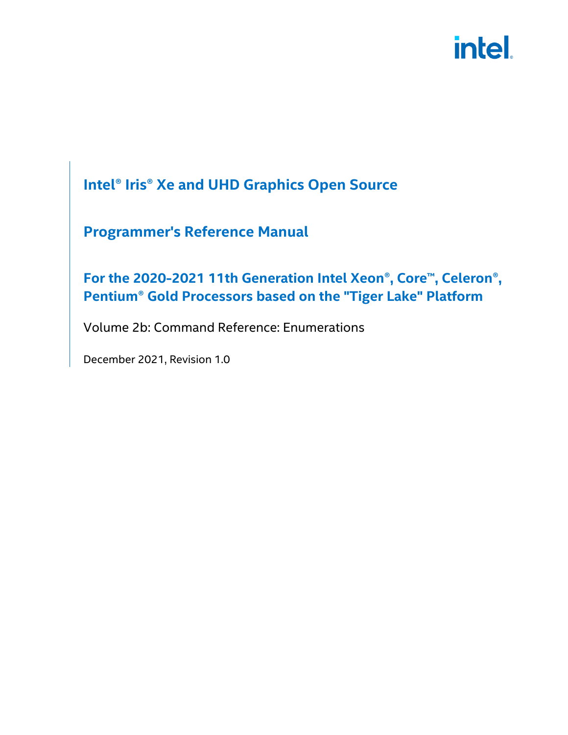#### **Intel® Iris® Xe and UHD Graphics Open Source**

#### **Programmer's Reference Manual**

#### **For the 2020-2021 11th Generation Intel Xeon®, Core™, Celeron®, Pentium® Gold Processors based on the "Tiger Lake" Platform**

Volume 2b: Command Reference: Enumerations

December 2021, Revision 1.0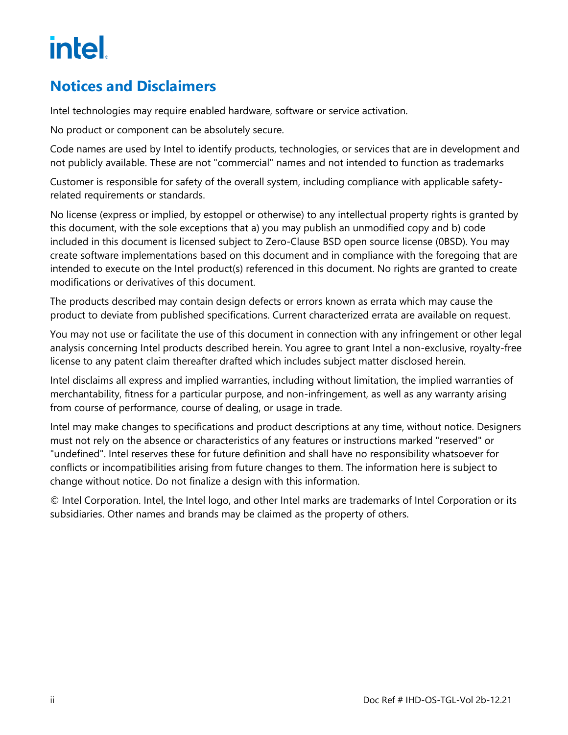#### <span id="page-1-0"></span>**Notices and Disclaimers**

Intel technologies may require enabled hardware, software or service activation.

No product or component can be absolutely secure.

Code names are used by Intel to identify products, technologies, or services that are in development and not publicly available. These are not "commercial" names and not intended to function as trademarks

Customer is responsible for safety of the overall system, including compliance with applicable safetyrelated requirements or standards.

No license (express or implied, by estoppel or otherwise) to any intellectual property rights is granted by this document, with the sole exceptions that a) you may publish an unmodified copy and b) code included in this document is licensed subject to Zero-Clause BSD open source license (0BSD). You may create software implementations based on this document and in compliance with the foregoing that are intended to execute on the Intel product(s) referenced in this document. No rights are granted to create modifications or derivatives of this document.

The products described may contain design defects or errors known as errata which may cause the product to deviate from published specifications. Current characterized errata are available on request.

You may not use or facilitate the use of this document in connection with any infringement or other legal analysis concerning Intel products described herein. You agree to grant Intel a non-exclusive, royalty-free license to any patent claim thereafter drafted which includes subject matter disclosed herein.

Intel disclaims all express and implied warranties, including without limitation, the implied warranties of merchantability, fitness for a particular purpose, and non-infringement, as well as any warranty arising from course of performance, course of dealing, or usage in trade.

Intel may make changes to specifications and product descriptions at any time, without notice. Designers must not rely on the absence or characteristics of any features or instructions marked "reserved" or "undefined". Intel reserves these for future definition and shall have no responsibility whatsoever for conflicts or incompatibilities arising from future changes to them. The information here is subject to change without notice. Do not finalize a design with this information.

© Intel Corporation. Intel, the Intel logo, and other Intel marks are trademarks of Intel Corporation or its subsidiaries. Other names and brands may be claimed as the property of others.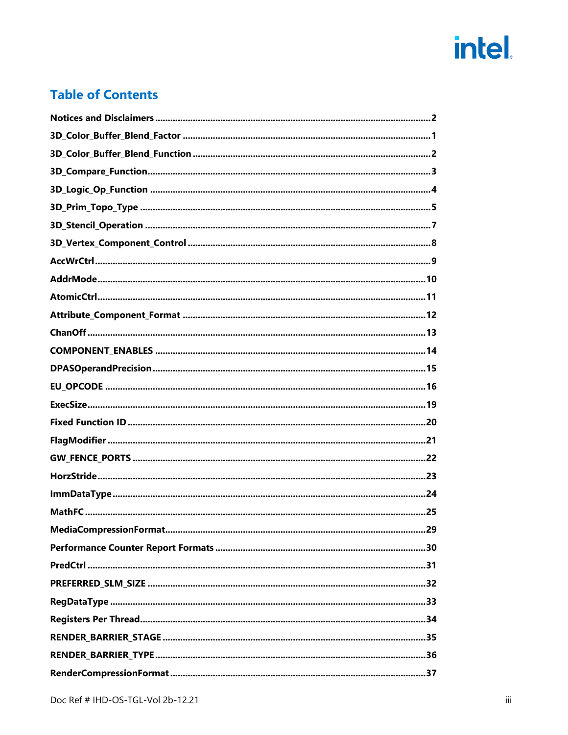#### **Table of Contents**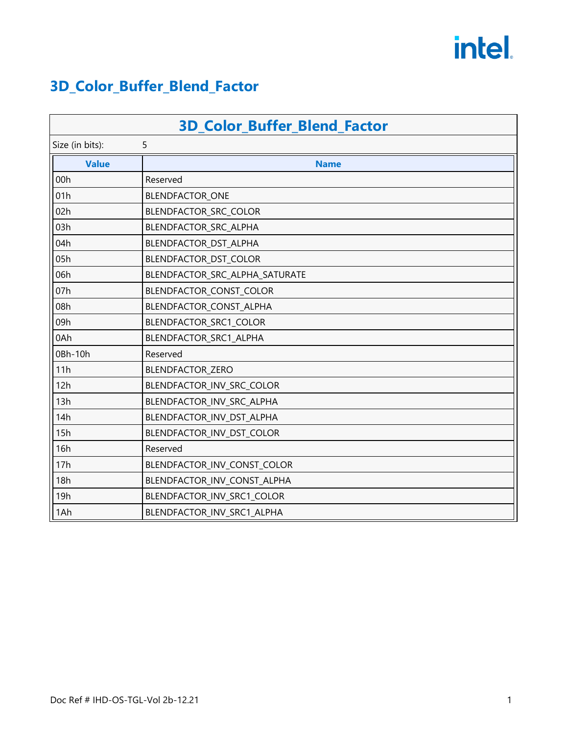#### <span id="page-4-0"></span>**3D\_Color\_Buffer\_Blend\_Factor**

| <b>3D_Color_Buffer_Blend_Factor</b> |                                |  |
|-------------------------------------|--------------------------------|--|
| 5<br>Size (in bits):                |                                |  |
| <b>Value</b>                        | <b>Name</b>                    |  |
| 00h                                 | Reserved                       |  |
| 01h                                 | BLENDFACTOR_ONE                |  |
| 02h                                 | BLENDFACTOR_SRC_COLOR          |  |
| 03h                                 | BLENDFACTOR_SRC_ALPHA          |  |
| 04h                                 | BLENDFACTOR_DST_ALPHA          |  |
| 05h                                 | BLENDFACTOR_DST_COLOR          |  |
| 06h                                 | BLENDFACTOR_SRC_ALPHA_SATURATE |  |
| 07h                                 | BLENDFACTOR_CONST_COLOR        |  |
| 08h                                 | BLENDFACTOR_CONST_ALPHA        |  |
| 09h                                 | BLENDFACTOR_SRC1_COLOR         |  |
| 0Ah                                 | BLENDFACTOR_SRC1_ALPHA         |  |
| 0Bh-10h                             | Reserved                       |  |
| 11h                                 | BLENDFACTOR_ZERO               |  |
| 12h                                 | BLENDFACTOR_INV_SRC_COLOR      |  |
| 13h                                 | BLENDFACTOR_INV_SRC_ALPHA      |  |
| 14h                                 | BLENDFACTOR_INV_DST_ALPHA      |  |
| 15h                                 | BLENDFACTOR_INV_DST_COLOR      |  |
| 16h                                 | Reserved                       |  |
| 17h                                 | BLENDFACTOR_INV_CONST_COLOR    |  |
| 18h                                 | BLENDFACTOR_INV_CONST_ALPHA    |  |
| 19h                                 | BLENDFACTOR_INV_SRC1_COLOR     |  |
| 1Ah                                 | BLENDFACTOR_INV_SRC1_ALPHA     |  |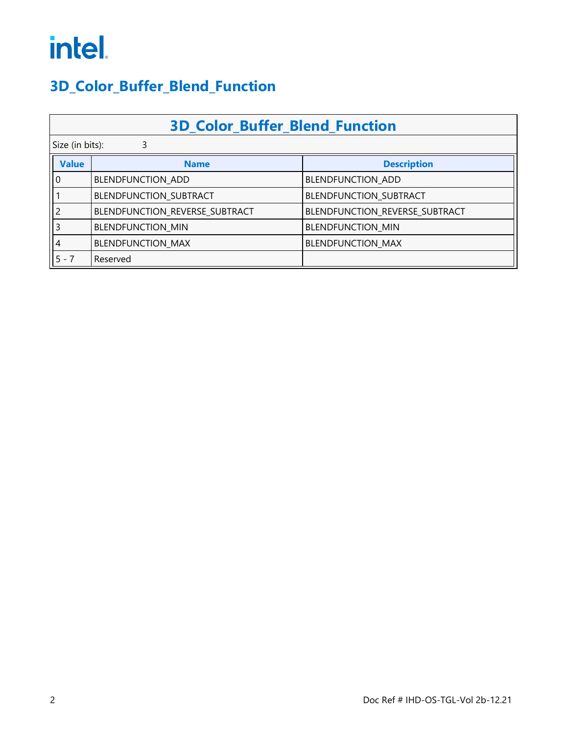#### <span id="page-5-0"></span>**3D\_Color\_Buffer\_Blend\_Function**

|              | <b>3D Color Buffer Blend Function</b> |                                |  |  |
|--------------|---------------------------------------|--------------------------------|--|--|
|              | Size (in bits):<br>3                  |                                |  |  |
| <b>Value</b> | <b>Name</b>                           | <b>Description</b>             |  |  |
| l 0          | BLENDFUNCTION ADD                     | BLENDFUNCTION ADD              |  |  |
|              | BLENDFUNCTION_SUBTRACT                | BLENDFUNCTION_SUBTRACT         |  |  |
|              | BLENDFUNCTION_REVERSE_SUBTRACT        | BLENDFUNCTION_REVERSE_SUBTRACT |  |  |
|              | <b>BLENDFUNCTION MIN</b>              | <b>BLENDFUNCTION MIN</b>       |  |  |
| 4            | <b>BLENDFUNCTION MAX</b>              | <b>BLENDFUNCTION MAX</b>       |  |  |
| $5 - 7$      | Reserved                              |                                |  |  |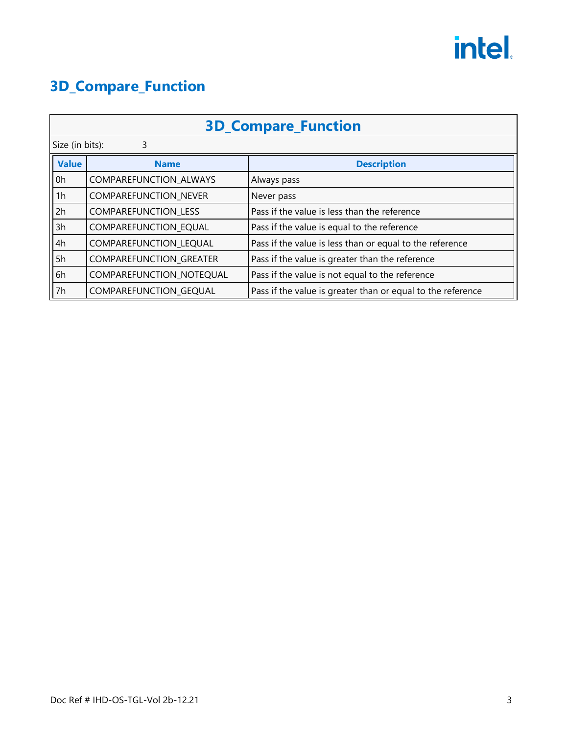#### <span id="page-6-0"></span>**3D\_Compare\_Function**

| <b>3D_Compare_Function</b> |                                |                                                             |  |
|----------------------------|--------------------------------|-------------------------------------------------------------|--|
|                            | Size (in bits):<br>3           |                                                             |  |
| <b>Value</b>               | <b>Name</b>                    | <b>Description</b>                                          |  |
| 0h                         | <b>COMPAREFUNCTION ALWAYS</b>  | Always pass                                                 |  |
| 1h                         | <b>COMPAREFUNCTION NEVER</b>   | Never pass                                                  |  |
| 2h                         | <b>COMPAREFUNCTION LESS</b>    | Pass if the value is less than the reference                |  |
| 3h                         | COMPAREFUNCTION EQUAL          | Pass if the value is equal to the reference                 |  |
| 4h                         | COMPAREFUNCTION LEQUAL         | Pass if the value is less than or equal to the reference    |  |
| 5h                         | <b>COMPAREFUNCTION GREATER</b> | Pass if the value is greater than the reference             |  |
| 6h                         | COMPAREFUNCTION NOTEQUAL       | Pass if the value is not equal to the reference             |  |
| 7h                         | COMPAREFUNCTION GEQUAL         | Pass if the value is greater than or equal to the reference |  |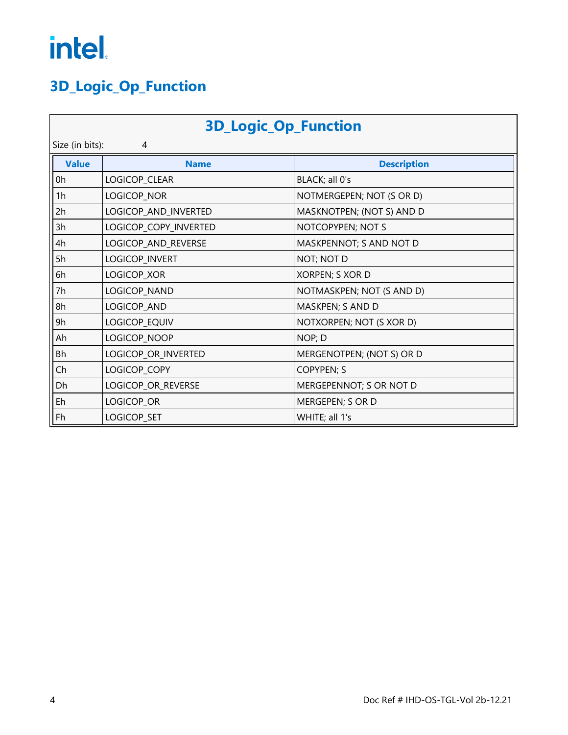### <span id="page-7-0"></span>**3D\_Logic\_Op\_Function**

| <b>3D_Logic_Op_Function</b> |                       |                           |  |
|-----------------------------|-----------------------|---------------------------|--|
|                             | Size (in bits):<br>4  |                           |  |
| <b>Value</b>                | <b>Name</b>           | <b>Description</b>        |  |
| 0h                          | LOGICOP_CLEAR         | BLACK; all 0's            |  |
| 1h                          | LOGICOP_NOR           | NOTMERGEPEN; NOT (S OR D) |  |
| 2h                          | LOGICOP_AND_INVERTED  | MASKNOTPEN; (NOT S) AND D |  |
| 3h                          | LOGICOP_COPY_INVERTED | NOTCOPYPEN; NOT S         |  |
| 4h                          | LOGICOP_AND_REVERSE   | MASKPENNOT; S AND NOT D   |  |
| 5h                          | LOGICOP_INVERT        | NOT; NOT D                |  |
| 6h                          | LOGICOP_XOR           | XORPEN; S XOR D           |  |
| 7h                          | LOGICOP_NAND          | NOTMASKPEN; NOT (S AND D) |  |
| 8h                          | LOGICOP_AND           | MASKPEN; S AND D          |  |
| 9h                          | LOGICOP_EQUIV         | NOTXORPEN; NOT (S XOR D)  |  |
| Ah                          | LOGICOP_NOOP          | NOP; D                    |  |
| Bh                          | LOGICOP_OR_INVERTED   | MERGENOTPEN; (NOT S) OR D |  |
| Ch                          | LOGICOP_COPY          | <b>COPYPEN; S</b>         |  |
| Dh                          | LOGICOP_OR_REVERSE    | MERGEPENNOT; S OR NOT D   |  |
| Eh                          | LOGICOP_OR            | MERGEPEN; S OR D          |  |
| Fh                          | LOGICOP_SET           | WHITE; all 1's            |  |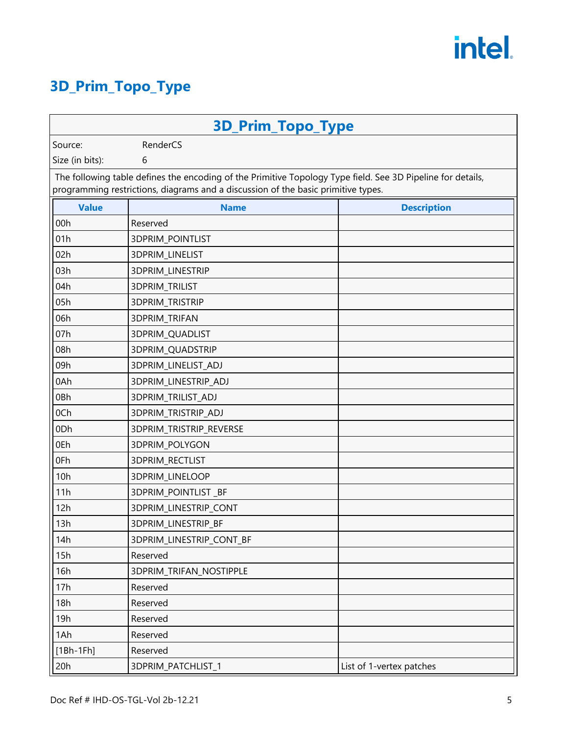#### <span id="page-8-0"></span>**3D\_Prim\_Topo\_Type**

| <b>3D_Prim_Topo_Type</b>                                                                                                                                                                         |                          |                          |  |  |
|--------------------------------------------------------------------------------------------------------------------------------------------------------------------------------------------------|--------------------------|--------------------------|--|--|
| Source:                                                                                                                                                                                          | RenderCS                 |                          |  |  |
| Size (in bits):<br>6                                                                                                                                                                             |                          |                          |  |  |
| The following table defines the encoding of the Primitive Topology Type field. See 3D Pipeline for details,<br>programming restrictions, diagrams and a discussion of the basic primitive types. |                          |                          |  |  |
| <b>Value</b>                                                                                                                                                                                     | <b>Name</b>              | <b>Description</b>       |  |  |
| 00h                                                                                                                                                                                              | Reserved                 |                          |  |  |
| 01h                                                                                                                                                                                              | <b>3DPRIM_POINTLIST</b>  |                          |  |  |
| 02h                                                                                                                                                                                              | 3DPRIM_LINELIST          |                          |  |  |
| 03h                                                                                                                                                                                              | 3DPRIM_LINESTRIP         |                          |  |  |
| 04h                                                                                                                                                                                              | 3DPRIM_TRILIST           |                          |  |  |
| 05h                                                                                                                                                                                              | 3DPRIM_TRISTRIP          |                          |  |  |
| 06h                                                                                                                                                                                              | 3DPRIM_TRIFAN            |                          |  |  |
| 07h                                                                                                                                                                                              | 3DPRIM_QUADLIST          |                          |  |  |
| 08h                                                                                                                                                                                              | 3DPRIM_QUADSTRIP         |                          |  |  |
| 09h                                                                                                                                                                                              | 3DPRIM_LINELIST_ADJ      |                          |  |  |
| 0Ah                                                                                                                                                                                              | 3DPRIM_LINESTRIP_ADJ     |                          |  |  |
| 0Bh                                                                                                                                                                                              | 3DPRIM_TRILIST_ADJ       |                          |  |  |
| 0Ch                                                                                                                                                                                              | 3DPRIM_TRISTRIP_ADJ      |                          |  |  |
| 0Dh                                                                                                                                                                                              | 3DPRIM_TRISTRIP_REVERSE  |                          |  |  |
| 0Eh                                                                                                                                                                                              | 3DPRIM_POLYGON           |                          |  |  |
| 0Fh                                                                                                                                                                                              | 3DPRIM_RECTLIST          |                          |  |  |
| 10h                                                                                                                                                                                              | 3DPRIM_LINELOOP          |                          |  |  |
| 11h                                                                                                                                                                                              | 3DPRIM_POINTLIST_BF      |                          |  |  |
| 12h                                                                                                                                                                                              | 3DPRIM_LINESTRIP_CONT    |                          |  |  |
| 13h                                                                                                                                                                                              | 3DPRIM_LINESTRIP_BF      |                          |  |  |
| 14h                                                                                                                                                                                              | 3DPRIM_LINESTRIP_CONT_BF |                          |  |  |
| 15h                                                                                                                                                                                              | Reserved                 |                          |  |  |
| 16h                                                                                                                                                                                              | 3DPRIM_TRIFAN_NOSTIPPLE  |                          |  |  |
| 17h                                                                                                                                                                                              | Reserved                 |                          |  |  |
| 18h                                                                                                                                                                                              | Reserved                 |                          |  |  |
| 19h                                                                                                                                                                                              | Reserved                 |                          |  |  |
| 1Ah                                                                                                                                                                                              | Reserved                 |                          |  |  |
| $[1Bh-1Fh]$                                                                                                                                                                                      | Reserved                 |                          |  |  |
| 20h                                                                                                                                                                                              | 3DPRIM_PATCHLIST_1       | List of 1-vertex patches |  |  |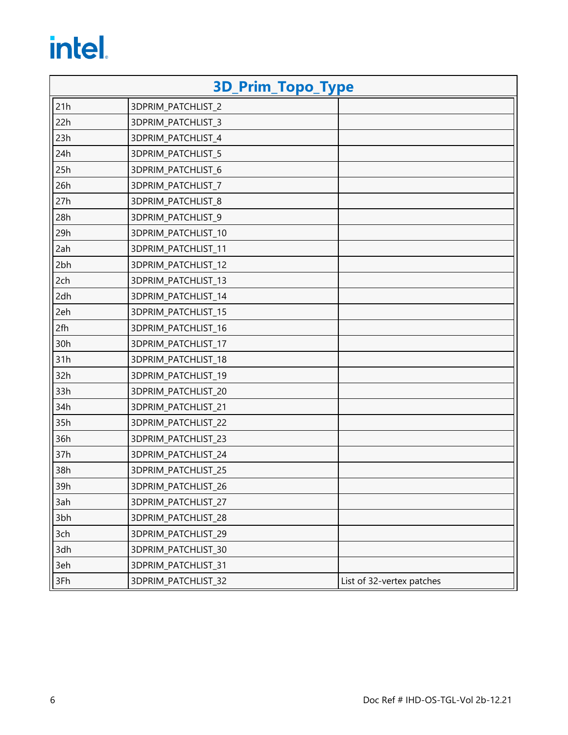| <b>3D_Prim_Topo_Type</b> |                            |                           |
|--------------------------|----------------------------|---------------------------|
| 21h                      | 3DPRIM_PATCHLIST_2         |                           |
| 22h                      | 3DPRIM_PATCHLIST_3         |                           |
| 23h                      | 3DPRIM_PATCHLIST_4         |                           |
| 24h                      | 3DPRIM_PATCHLIST_5         |                           |
| 25h                      | 3DPRIM_PATCHLIST_6         |                           |
| 26h                      | 3DPRIM_PATCHLIST_7         |                           |
| 27h                      | 3DPRIM_PATCHLIST_8         |                           |
| 28h                      | 3DPRIM_PATCHLIST_9         |                           |
| 29h                      | 3DPRIM_PATCHLIST_10        |                           |
| 2ah                      | 3DPRIM_PATCHLIST_11        |                           |
| 2bh                      | 3DPRIM_PATCHLIST_12        |                           |
| 2ch                      | 3DPRIM_PATCHLIST_13        |                           |
| 2dh                      | 3DPRIM_PATCHLIST_14        |                           |
| 2eh                      | 3DPRIM_PATCHLIST_15        |                           |
| 2fh                      | 3DPRIM_PATCHLIST_16        |                           |
| 30h                      | 3DPRIM_PATCHLIST_17        |                           |
| 31h                      | 3DPRIM_PATCHLIST_18        |                           |
| 32h                      | 3DPRIM_PATCHLIST_19        |                           |
| 33h                      | 3DPRIM_PATCHLIST_20        |                           |
| 34h                      | 3DPRIM_PATCHLIST_21        |                           |
| 35h                      | 3DPRIM_PATCHLIST_22        |                           |
| 36h                      | 3DPRIM_PATCHLIST_23        |                           |
| 37h                      | 3DPRIM_PATCHLIST_24        |                           |
| 38h                      | 3DPRIM_PATCHLIST_25        |                           |
| 39h                      | <b>3DPRIM PATCHLIST 26</b> |                           |
| 3ah                      | 3DPRIM_PATCHLIST_27        |                           |
| 3bh                      | 3DPRIM_PATCHLIST_28        |                           |
| 3ch                      | 3DPRIM_PATCHLIST_29        |                           |
| 3dh                      | 3DPRIM_PATCHLIST_30        |                           |
| 3eh                      | 3DPRIM_PATCHLIST_31        |                           |
| 3Fh                      | 3DPRIM_PATCHLIST_32        | List of 32-vertex patches |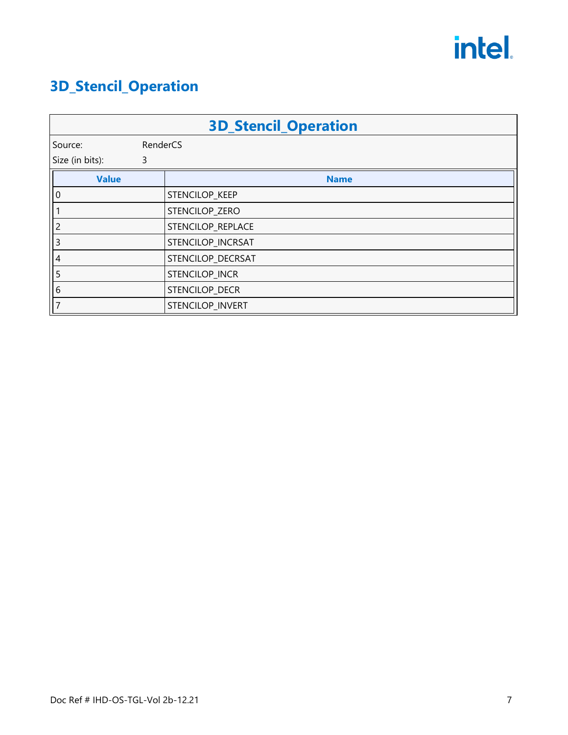### <span id="page-10-0"></span>**3D\_Stencil\_Operation**

|                 |          | <b>3D_Stencil_Operation</b> |
|-----------------|----------|-----------------------------|
| Source:         | RenderCS |                             |
| Size (in bits): | 3        |                             |
| <b>Value</b>    |          | <b>Name</b>                 |
| $\overline{0}$  |          | STENCILOP_KEEP              |
|                 |          | STENCILOP_ZERO              |
| 2               |          | STENCILOP_REPLACE           |
| 3               |          | STENCILOP_INCRSAT           |
| 4               |          | STENCILOP_DECRSAT           |
| 5               |          | STENCILOP_INCR              |
| 6               |          | STENCILOP_DECR              |
|                 |          | STENCILOP_INVERT            |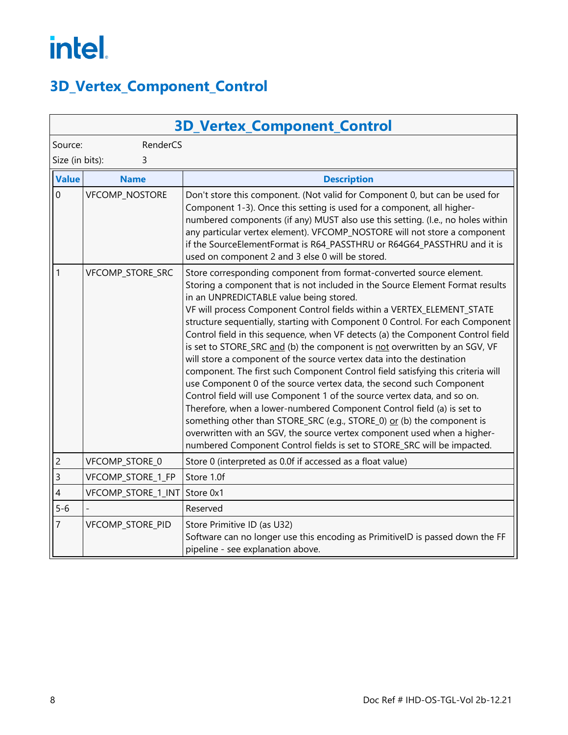#### <span id="page-11-0"></span>**3D\_Vertex\_Component\_Control**

| <b>3D_Vertex_Component_Control</b> |                    |                                                                                                                                                                                                                                                                                                                                                                                                                                                                                                                                                                                                                                                                                                                                                                                                                                                                                                                                                                                                                                                                                                                                                        |
|------------------------------------|--------------------|--------------------------------------------------------------------------------------------------------------------------------------------------------------------------------------------------------------------------------------------------------------------------------------------------------------------------------------------------------------------------------------------------------------------------------------------------------------------------------------------------------------------------------------------------------------------------------------------------------------------------------------------------------------------------------------------------------------------------------------------------------------------------------------------------------------------------------------------------------------------------------------------------------------------------------------------------------------------------------------------------------------------------------------------------------------------------------------------------------------------------------------------------------|
| RenderCS<br>Source:                |                    |                                                                                                                                                                                                                                                                                                                                                                                                                                                                                                                                                                                                                                                                                                                                                                                                                                                                                                                                                                                                                                                                                                                                                        |
| Size (in bits):<br>3               |                    |                                                                                                                                                                                                                                                                                                                                                                                                                                                                                                                                                                                                                                                                                                                                                                                                                                                                                                                                                                                                                                                                                                                                                        |
| <b>Value</b>                       | <b>Name</b>        | <b>Description</b>                                                                                                                                                                                                                                                                                                                                                                                                                                                                                                                                                                                                                                                                                                                                                                                                                                                                                                                                                                                                                                                                                                                                     |
| $\mathbf 0$                        | VFCOMP_NOSTORE     | Don't store this component. (Not valid for Component 0, but can be used for<br>Component 1-3). Once this setting is used for a component, all higher-<br>numbered components (if any) MUST also use this setting. (I.e., no holes within<br>any particular vertex element). VFCOMP_NOSTORE will not store a component<br>if the SourceElementFormat is R64_PASSTHRU or R64G64_PASSTHRU and it is<br>used on component 2 and 3 else 0 will be stored.                                                                                                                                                                                                                                                                                                                                                                                                                                                                                                                                                                                                                                                                                                   |
| $\mathbf{1}$                       | VFCOMP_STORE_SRC   | Store corresponding component from format-converted source element.<br>Storing a component that is not included in the Source Element Format results<br>in an UNPREDICTABLE value being stored.<br>VF will process Component Control fields within a VERTEX_ELEMENT_STATE<br>structure sequentially, starting with Component 0 Control. For each Component<br>Control field in this sequence, when VF detects (a) the Component Control field<br>is set to STORE_SRC and (b) the component is not overwritten by an SGV, VF<br>will store a component of the source vertex data into the destination<br>component. The first such Component Control field satisfying this criteria will<br>use Component 0 of the source vertex data, the second such Component<br>Control field will use Component 1 of the source vertex data, and so on.<br>Therefore, when a lower-numbered Component Control field (a) is set to<br>something other than STORE_SRC (e.g., STORE_0) or (b) the component is<br>overwritten with an SGV, the source vertex component used when a higher-<br>numbered Component Control fields is set to STORE_SRC will be impacted. |
| $\overline{c}$                     | VFCOMP_STORE_0     | Store 0 (interpreted as 0.0f if accessed as a float value)                                                                                                                                                                                                                                                                                                                                                                                                                                                                                                                                                                                                                                                                                                                                                                                                                                                                                                                                                                                                                                                                                             |
| $\overline{3}$                     | VFCOMP_STORE_1_FP  | Store 1.0f                                                                                                                                                                                                                                                                                                                                                                                                                                                                                                                                                                                                                                                                                                                                                                                                                                                                                                                                                                                                                                                                                                                                             |
| 4                                  | VFCOMP_STORE_1_INT | Store 0x1                                                                                                                                                                                                                                                                                                                                                                                                                                                                                                                                                                                                                                                                                                                                                                                                                                                                                                                                                                                                                                                                                                                                              |
| $5 - 6$                            |                    | Reserved                                                                                                                                                                                                                                                                                                                                                                                                                                                                                                                                                                                                                                                                                                                                                                                                                                                                                                                                                                                                                                                                                                                                               |
| $\overline{7}$                     | VFCOMP_STORE_PID   | Store Primitive ID (as U32)<br>Software can no longer use this encoding as PrimitiveID is passed down the FF<br>pipeline - see explanation above.                                                                                                                                                                                                                                                                                                                                                                                                                                                                                                                                                                                                                                                                                                                                                                                                                                                                                                                                                                                                      |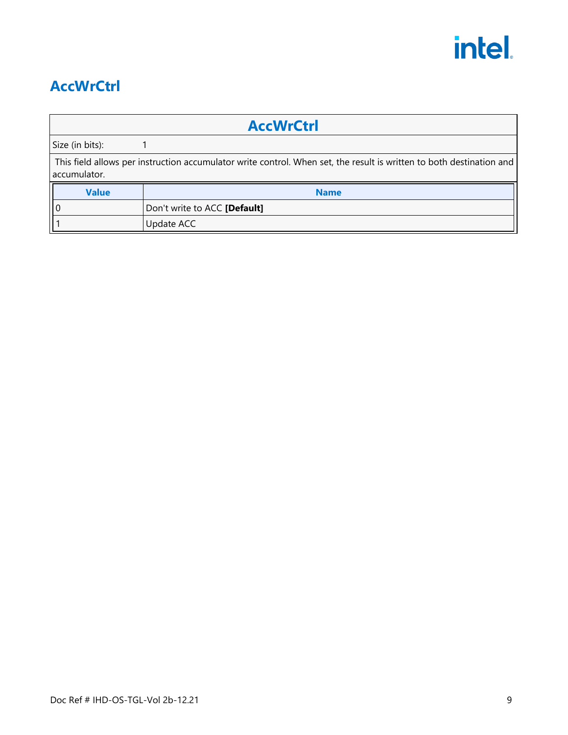

#### <span id="page-12-0"></span>**AccWrCtrl**

| <b>AccWrCtrl</b>                                                                                                                     |                              |  |
|--------------------------------------------------------------------------------------------------------------------------------------|------------------------------|--|
| Size (in bits):                                                                                                                      |                              |  |
| This field allows per instruction accumulator write control. When set, the result is written to both destination and<br>accumulator. |                              |  |
| <b>Value</b>                                                                                                                         | <b>Name</b>                  |  |
| l 0                                                                                                                                  | Don't write to ACC [Default] |  |
|                                                                                                                                      | Update ACC                   |  |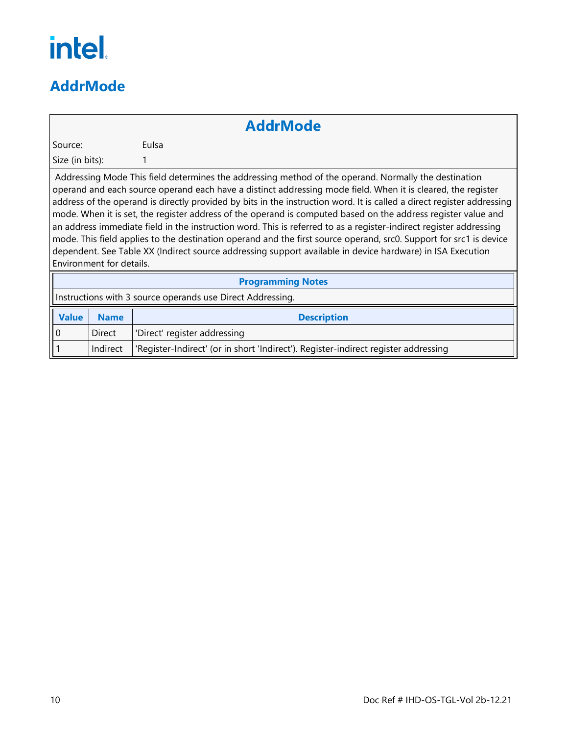#### <span id="page-13-0"></span>**AddrMode**

#### **AddrMode**

Source: Eulsa

Size (in bits): 1

Addressing Mode This field determines the addressing method of the operand. Normally the destination operand and each source operand each have a distinct addressing mode field. When it is cleared, the register address of the operand is directly provided by bits in the instruction word. It is called a direct register addressing mode. When it is set, the register address of the operand is computed based on the address register value and an address immediate field in the instruction word. This is referred to as a register-indirect register addressing mode. This field applies to the destination operand and the first source operand, src0. Support for src1 is device dependent. See Table XX (Indirect source addressing support available in device hardware) in ISA Execution Environment for details.

| <b>Programming Notes</b>                                   |             |                                                                                     |
|------------------------------------------------------------|-------------|-------------------------------------------------------------------------------------|
| Instructions with 3 source operands use Direct Addressing. |             |                                                                                     |
| <b>Value</b>                                               | <b>Name</b> | <b>Description</b>                                                                  |
| ll o                                                       | Direct      | 'Direct' register addressing                                                        |
|                                                            | Indirect    | 'Register-Indirect' (or in short 'Indirect'). Register-indirect register addressing |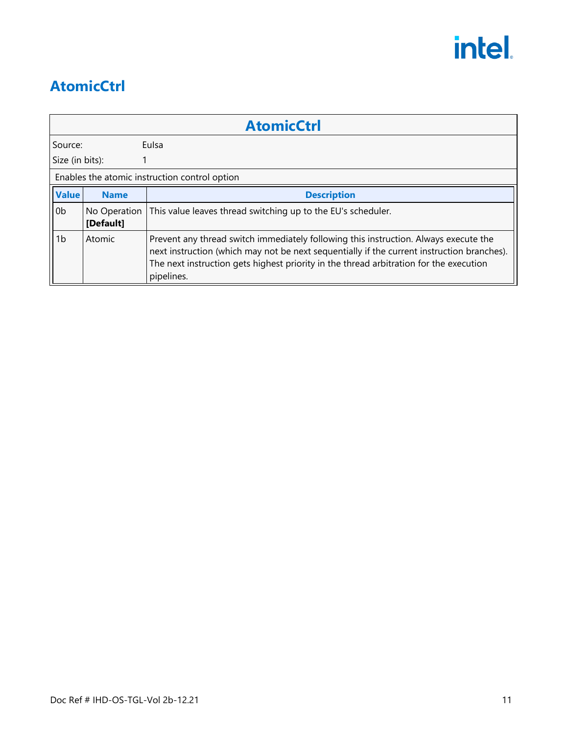#### <span id="page-14-0"></span>**AtomicCtrl**

|                 | <b>AtomicCtrl</b>         |                                                                                                                                                                                                                                                                                            |  |  |  |
|-----------------|---------------------------|--------------------------------------------------------------------------------------------------------------------------------------------------------------------------------------------------------------------------------------------------------------------------------------------|--|--|--|
| Source:         |                           | <b>Fulsa</b>                                                                                                                                                                                                                                                                               |  |  |  |
| Size (in bits): |                           |                                                                                                                                                                                                                                                                                            |  |  |  |
|                 |                           | Enables the atomic instruction control option                                                                                                                                                                                                                                              |  |  |  |
| <b>Value</b>    | <b>Name</b>               | <b>Description</b>                                                                                                                                                                                                                                                                         |  |  |  |
| 0b              | No Operation<br>[Default] | This value leaves thread switching up to the EU's scheduler.                                                                                                                                                                                                                               |  |  |  |
| 1 <sub>b</sub>  | Atomic                    | Prevent any thread switch immediately following this instruction. Always execute the<br>next instruction (which may not be next sequentially if the current instruction branches).<br>The next instruction gets highest priority in the thread arbitration for the execution<br>pipelines. |  |  |  |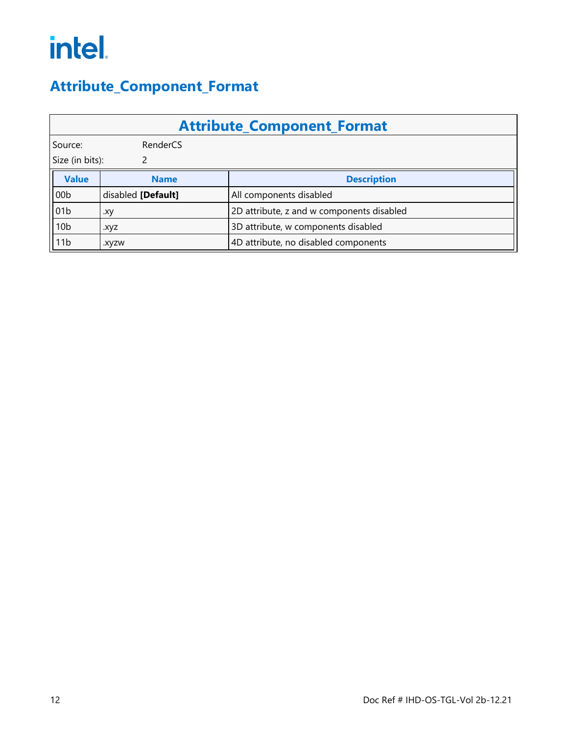#### <span id="page-15-0"></span>**Attribute\_Component\_Format**

| <b>Attribute Component Format</b> |                    |                                           |  |  |
|-----------------------------------|--------------------|-------------------------------------------|--|--|
| Source:<br>RenderCS               |                    |                                           |  |  |
| Size (in bits):                   |                    |                                           |  |  |
| <b>Value</b>                      | <b>Name</b>        | <b>Description</b>                        |  |  |
| 00 <sub>b</sub>                   | disabled [Default] | All components disabled                   |  |  |
| 01 <sub>b</sub>                   | .xy                | 2D attribute, z and w components disabled |  |  |
| 10 <sub>b</sub>                   | .xyz               | 3D attribute, w components disabled       |  |  |
| 11 <sub>b</sub>                   | .xyzw              | 4D attribute, no disabled components      |  |  |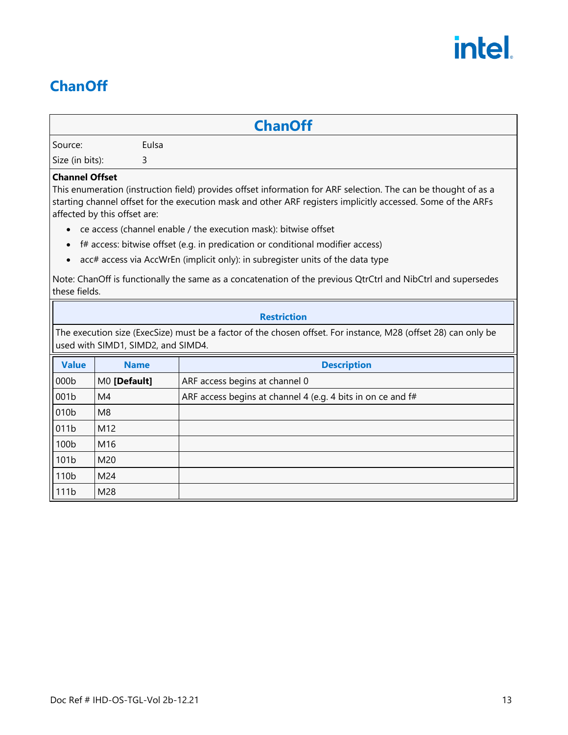#### <span id="page-16-0"></span>**ChanOff**

#### **ChanOff**

Source: Eulsa

Size (in bits): 3

#### **Channel Offset**

This enumeration (instruction field) provides offset information for ARF selection. The can be thought of as a starting channel offset for the execution mask and other ARF registers implicitly accessed. Some of the ARFs affected by this offset are:

- ce access (channel enable / the execution mask): bitwise offset
- f# access: bitwise offset (e.g. in predication or conditional modifier access)
- acc# access via AccWrEn (implicit only): in subregister units of the data type

Note: ChanOff is functionally the same as a concatenation of the previous QtrCtrl and NibCtrl and supersedes these fields.

#### **Restriction**

The execution size (ExecSize) must be a factor of the chosen offset. For instance, M28 (offset 28) can only be used with SIMD1, SIMD2, and SIMD4.

| <b>Value</b> | <b>Name</b>    | <b>Description</b>                                          |
|--------------|----------------|-------------------------------------------------------------|
| 000b         | M0 [Default]   | ARF access begins at channel 0                              |
| 001b         | M4             | ARF access begins at channel 4 (e.g. 4 bits in on ce and f# |
| 010b         | M <sub>8</sub> |                                                             |
| 011b         | M12            |                                                             |
| 100b         | M16            |                                                             |
| 101b         | M20            |                                                             |
| 110b         | M24            |                                                             |
| 111b         | M28            |                                                             |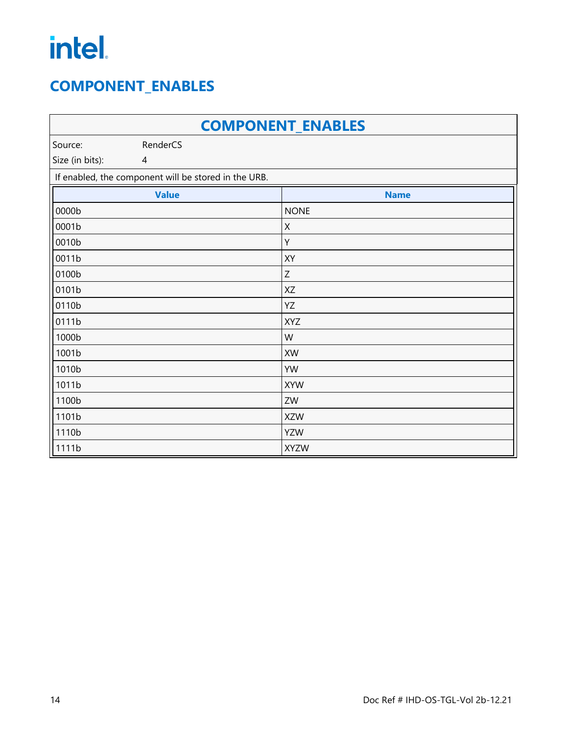#### <span id="page-17-0"></span>**COMPONENT\_ENABLES**

| <b>COMPONENT_ENABLES</b> |                                                      |                           |  |
|--------------------------|------------------------------------------------------|---------------------------|--|
| Source:                  | RenderCS                                             |                           |  |
| Size (in bits):          | $\overline{4}$                                       |                           |  |
|                          | If enabled, the component will be stored in the URB. |                           |  |
|                          | <b>Value</b>                                         | <b>Name</b>               |  |
| 0000b                    |                                                      | <b>NONE</b>               |  |
| 0001b                    |                                                      | X                         |  |
| 0010b                    |                                                      | Υ                         |  |
| 0011b                    |                                                      | XY                        |  |
| 0100b                    |                                                      | $\ensuremath{\mathsf{Z}}$ |  |
| 0101b                    |                                                      | XZ                        |  |
| 0110b                    |                                                      | YZ                        |  |
| 0111b                    |                                                      | <b>XYZ</b>                |  |
| 1000b                    |                                                      | W                         |  |
| 1001b                    |                                                      | XW                        |  |
| 1010b                    |                                                      | YW                        |  |
| 1011b                    |                                                      | <b>XYW</b>                |  |
| 1100b                    |                                                      | ZW                        |  |
| 1101b                    |                                                      | <b>XZW</b>                |  |
| 1110b                    |                                                      | <b>YZW</b>                |  |
| 1111b                    |                                                      | <b>XYZW</b>               |  |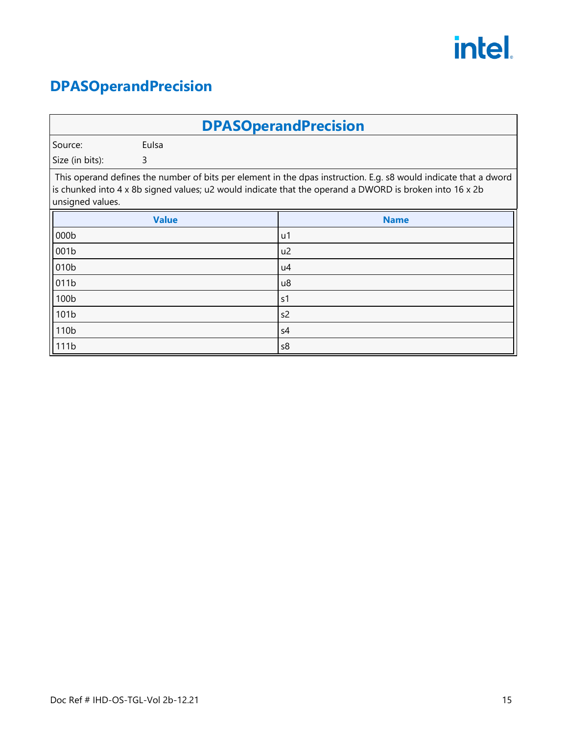#### <span id="page-18-0"></span>**DPASOperandPrecision**

| <b>DPASOperandPrecision</b>                                                                                                                                                                                                                                     |              |                |  |
|-----------------------------------------------------------------------------------------------------------------------------------------------------------------------------------------------------------------------------------------------------------------|--------------|----------------|--|
| Source:                                                                                                                                                                                                                                                         | Eulsa        |                |  |
| Size (in bits):                                                                                                                                                                                                                                                 | 3            |                |  |
| This operand defines the number of bits per element in the dpas instruction. E.g. s8 would indicate that a dword<br>is chunked into $4 \times 8$ b signed values; u2 would indicate that the operand a DWORD is broken into $16 \times 2$ b<br>unsigned values. |              |                |  |
|                                                                                                                                                                                                                                                                 | <b>Value</b> | <b>Name</b>    |  |
| 000b                                                                                                                                                                                                                                                            |              | u1             |  |
| 001b                                                                                                                                                                                                                                                            |              | u <sub>2</sub> |  |
| 010 <sub>b</sub>                                                                                                                                                                                                                                                |              | u4             |  |
| 011b                                                                                                                                                                                                                                                            |              | u8             |  |
| 100 <sub>b</sub>                                                                                                                                                                                                                                                |              | s <sub>1</sub> |  |
| 101b                                                                                                                                                                                                                                                            |              | s <sub>2</sub> |  |
| 110 <sub>b</sub>                                                                                                                                                                                                                                                |              | s4             |  |
| 111b                                                                                                                                                                                                                                                            |              | s8             |  |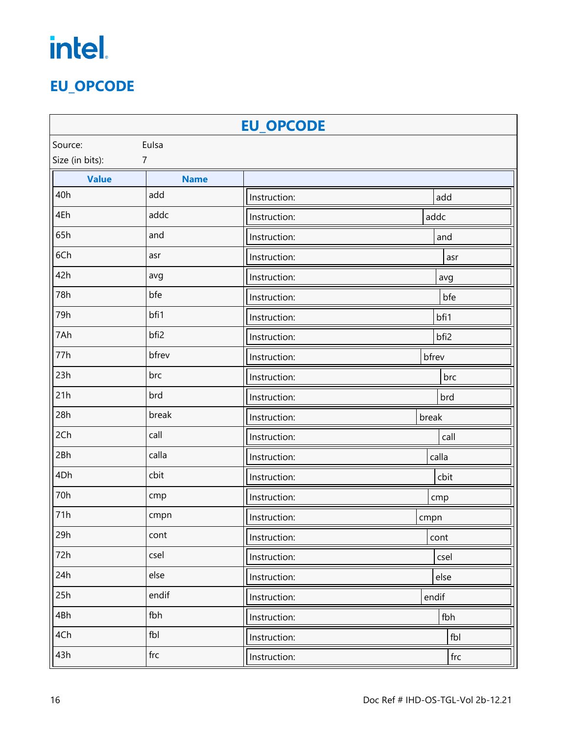#### <span id="page-19-0"></span>**EU\_OPCODE**

| <b>EU_OPCODE</b> |                  |              |       |  |
|------------------|------------------|--------------|-------|--|
| Eulsa<br>Source: |                  |              |       |  |
| Size (in bits):  | $\overline{7}$   |              |       |  |
| <b>Value</b>     | <b>Name</b>      |              |       |  |
| 40h              | add              | Instruction: | add   |  |
| 4Eh              | addc             | Instruction: | addc  |  |
| 65h              | and              | Instruction: | and   |  |
| 6Ch              | asr              | Instruction: | asr   |  |
| 42h              | avg              | Instruction: | avg   |  |
| 78h              | bfe              | Instruction: | bfe   |  |
| 79h              | bfi1             | Instruction: | bfi1  |  |
| 7Ah              | bfi <sub>2</sub> | Instruction: | bfi2  |  |
| 77h              | bfrev            | Instruction: | bfrev |  |
| 23h              | brc              | Instruction: | brc   |  |
| 21h              | brd              | Instruction: | brd   |  |
| 28h              | break            | Instruction: | break |  |
| 2Ch              | call             | Instruction: | call  |  |
| 2Bh              | calla            | Instruction: | calla |  |
| 4Dh              | cbit             | Instruction: | cbit  |  |
| 70h              | cmp              | Instruction: | cmp   |  |
| 71h              | cmpn             | Instruction: | cmpn  |  |
| 29h              | cont             | Instruction: | cont  |  |
| 72h              | csel             | Instruction: | csel  |  |
| 24h              | else             | Instruction: | else  |  |
| 25h              | endif            | Instruction: | endif |  |
| 4Bh              | fbh              | Instruction: | fbh   |  |
| 4Ch              | fbl              | Instruction: | fbl   |  |
| 43h              | frc              | Instruction: | frc   |  |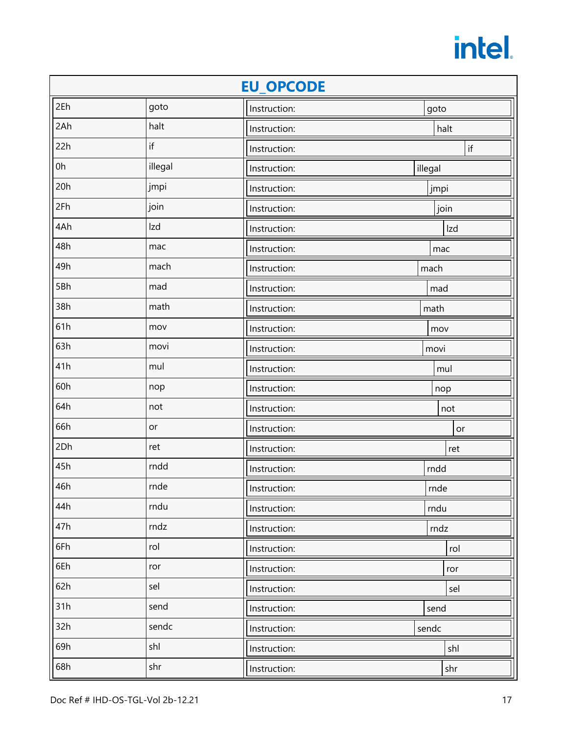| <b>EU OPCODE</b> |         |              |         |
|------------------|---------|--------------|---------|
| 2Eh              | goto    | Instruction: | goto    |
| 2Ah              | halt    | Instruction: | halt    |
| 22h              | if      | Instruction: | if      |
| 0h               | illegal | Instruction: | illegal |
| 20h              | jmpi    | Instruction: | jmpi    |
| 2Fh              | join    | Instruction: | join    |
| 4Ah              | Izd     | Instruction: | Izd     |
| 48h              | mac     | Instruction: | mac     |
| 49h              | mach    | Instruction: | mach    |
| 5Bh              | mad     | Instruction: | mad     |
| 38h              | math    | Instruction: | math    |
| 61h              | mov     | Instruction: | mov     |
| 63h              | movi    | Instruction: | movi    |
| 41h              | mul     | Instruction: | mul     |
| 60h              | nop     | Instruction: | nop     |
| 64h              | not     | Instruction: | not     |
| 66h              | or      | Instruction: | or      |
| 2Dh              | ret     | Instruction: | ret     |
| 45h              | rndd    | Instruction: | rndd    |
| 46h              | rnde    | Instruction: | rnde    |
| 44h              | rndu    | Instruction: | rndu    |
| 47h              | rndz    | Instruction: | rndz    |
| 6Fh              | rol     | Instruction: | rol     |
| 6Eh              | ror     | Instruction: | ror     |
| 62h              | sel     | Instruction: | sel     |
| 31h              | send    | Instruction: | send    |
| 32h              | sendc   | Instruction: | sendc   |
| 69h              | shl     | Instruction: | shl     |
| 68h              | shr     | Instruction: | shr     |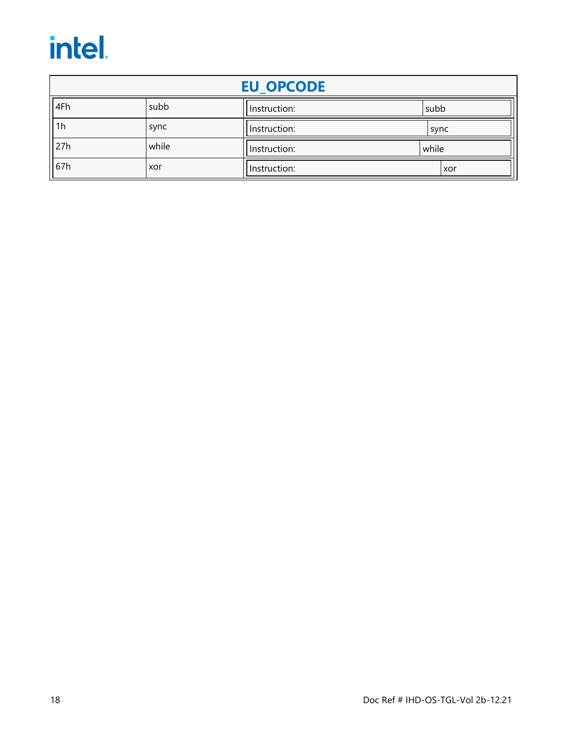| <b>EU OPCODE</b> |       |              |       |  |
|------------------|-------|--------------|-------|--|
| 4Fh              | subb  | Instruction: | subb  |  |
| 1 <sub>h</sub>   | sync  | Instruction: | sync  |  |
| 27h              | while | Instruction: | while |  |
| 67h              | xor   | Instruction: | xor   |  |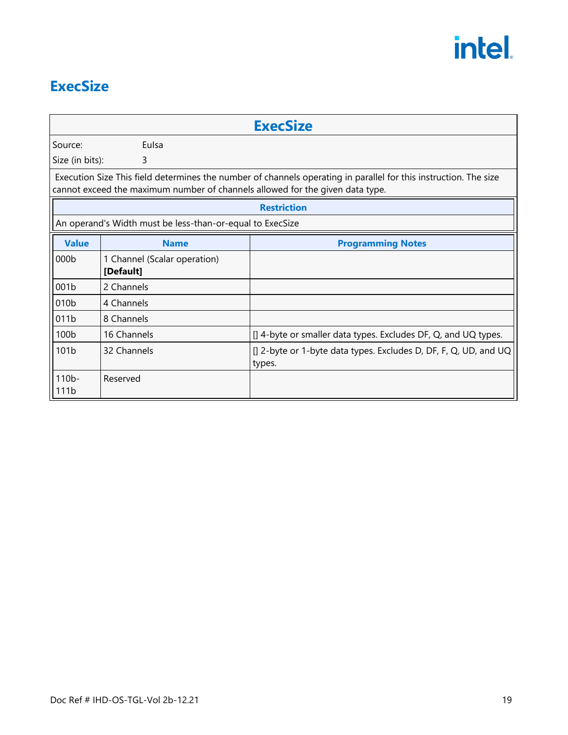#### <span id="page-22-0"></span>**ExecSize**

|                              |                                                                                                                                                                                                   | <b>ExecSize</b>                                                            |  |  |  |
|------------------------------|---------------------------------------------------------------------------------------------------------------------------------------------------------------------------------------------------|----------------------------------------------------------------------------|--|--|--|
| Source:                      | Eulsa                                                                                                                                                                                             |                                                                            |  |  |  |
| Size (in bits):              | 3                                                                                                                                                                                                 |                                                                            |  |  |  |
|                              | Execution Size This field determines the number of channels operating in parallel for this instruction. The size<br>cannot exceed the maximum number of channels allowed for the given data type. |                                                                            |  |  |  |
|                              |                                                                                                                                                                                                   | <b>Restriction</b>                                                         |  |  |  |
|                              | An operand's Width must be less-than-or-equal to ExecSize                                                                                                                                         |                                                                            |  |  |  |
| <b>Value</b>                 | <b>Name</b>                                                                                                                                                                                       | <b>Programming Notes</b>                                                   |  |  |  |
| 000b                         | 1 Channel (Scalar operation)<br>[Default]                                                                                                                                                         |                                                                            |  |  |  |
| 001b                         | 2 Channels                                                                                                                                                                                        |                                                                            |  |  |  |
| 010 <sub>b</sub>             | 4 Channels                                                                                                                                                                                        |                                                                            |  |  |  |
| 011b                         | 8 Channels                                                                                                                                                                                        |                                                                            |  |  |  |
| 100b                         | 16 Channels                                                                                                                                                                                       | [] 4-byte or smaller data types. Excludes DF, Q, and UQ types.             |  |  |  |
| 101b                         | 32 Channels                                                                                                                                                                                       | [] 2-byte or 1-byte data types. Excludes D, DF, F, Q, UD, and UQ<br>types. |  |  |  |
| $110b$ -<br>111 <sub>b</sub> | Reserved                                                                                                                                                                                          |                                                                            |  |  |  |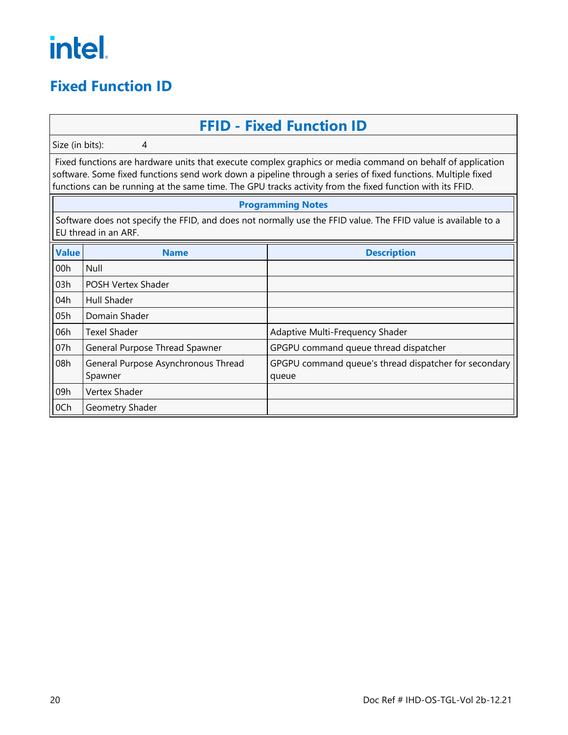#### <span id="page-23-0"></span>**Fixed Function ID**

#### **FFID - Fixed Function ID**

Size (in bits): 4

Fixed functions are hardware units that execute complex graphics or media command on behalf of application software. Some fixed functions send work down a pipeline through a series of fixed functions. Multiple fixed functions can be running at the same time. The GPU tracks activity from the fixed function with its FFID.

#### **Programming Notes**

Software does not specify the FFID, and does not normally use the FFID value. The FFID value is available to a EU thread in an ARF.

| <b>Value</b> | <b>Name</b>                                    | <b>Description</b>                                             |
|--------------|------------------------------------------------|----------------------------------------------------------------|
| 00h          | Null                                           |                                                                |
| 03h          | POSH Vertex Shader                             |                                                                |
| 04h          | <b>Hull Shader</b>                             |                                                                |
| 05h          | Domain Shader                                  |                                                                |
| 06h          | <b>Texel Shader</b>                            | Adaptive Multi-Frequency Shader                                |
| 07h          | General Purpose Thread Spawner                 | GPGPU command queue thread dispatcher                          |
| 08h          | General Purpose Asynchronous Thread<br>Spawner | GPGPU command queue's thread dispatcher for secondary<br>queue |
| 09h          | Vertex Shader                                  |                                                                |
| 0Ch          | Geometry Shader                                |                                                                |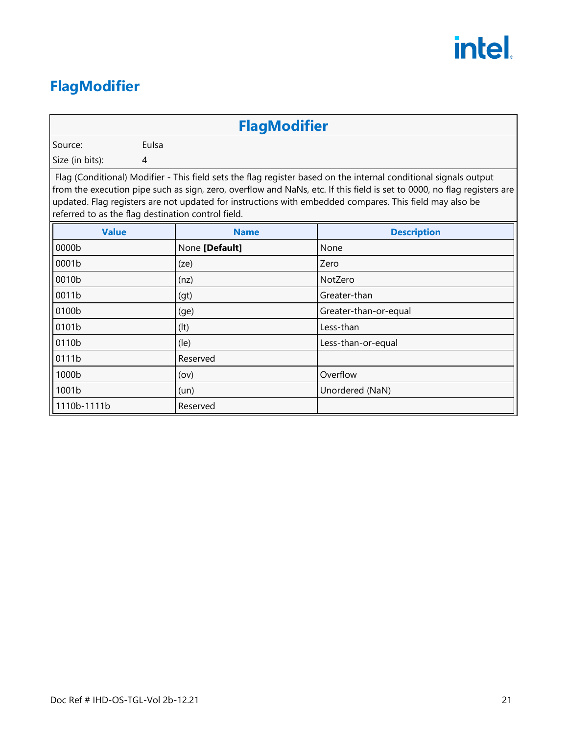#### <span id="page-24-0"></span>**FlagModifier**

#### **FlagModifier**

Source: Eulsa

Size (in bits): 4

Flag (Conditional) Modifier - This field sets the flag register based on the internal conditional signals output from the execution pipe such as sign, zero, overflow and NaNs, etc. If this field is set to 0000, no flag registers are updated. Flag registers are not updated for instructions with embedded compares. This field may also be referred to as the flag destination control field.

| <b>Value</b> | <b>Name</b>              | <b>Description</b>    |
|--------------|--------------------------|-----------------------|
| 0000b        | None [Default]           | None                  |
| 0001b        | (ze)                     | Zero                  |
| 0010b        | (nz)                     | NotZero               |
| 0011b        | (gt)                     | Greater-than          |
| 0100b        | (ge)                     | Greater-than-or-equal |
| 0101b        | (It)                     | Less-than             |
| 0110b        | $(\mathsf{I}\mathsf{e})$ | Less-than-or-equal    |
| 0111b        | Reserved                 |                       |
| 1000b        | (ov)                     | Overflow              |
| 1001b        | (un)                     | Unordered (NaN)       |
| 1110b-1111b  | Reserved                 |                       |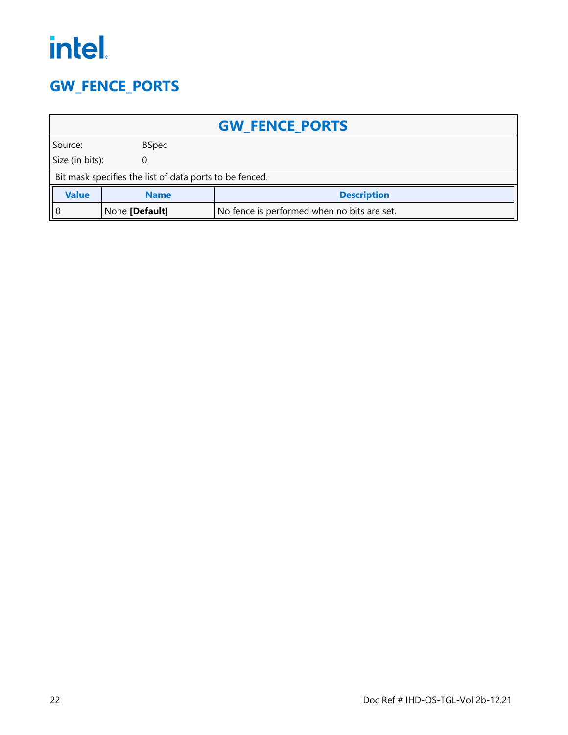#### <span id="page-25-0"></span>**GW\_FENCE\_PORTS**

| <b>GW FENCE PORTS</b>                                         |                                                         |  |  |  |
|---------------------------------------------------------------|---------------------------------------------------------|--|--|--|
| <b>BSpec</b><br>Source:                                       |                                                         |  |  |  |
| Size (in bits):<br>0                                          |                                                         |  |  |  |
|                                                               | Bit mask specifies the list of data ports to be fenced. |  |  |  |
| <b>Value</b><br><b>Description</b><br><b>Name</b>             |                                                         |  |  |  |
| No fence is performed when no bits are set.<br>None [Default] |                                                         |  |  |  |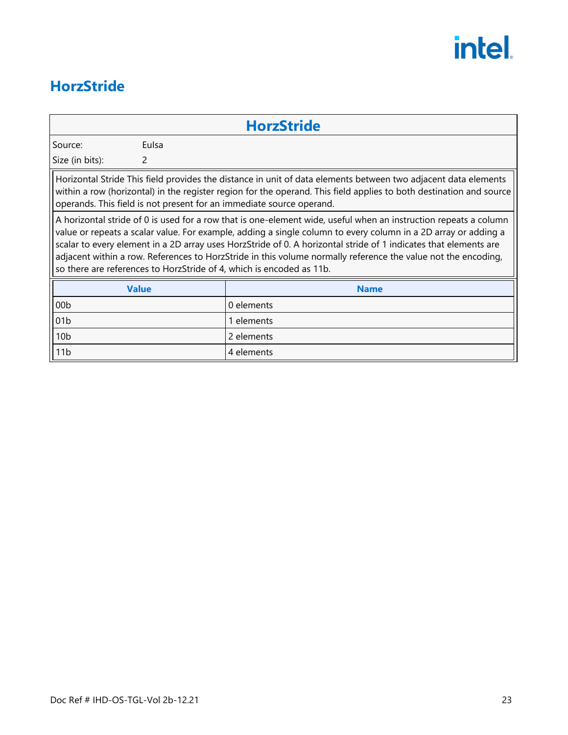#### <span id="page-26-0"></span>**HorzStride**

#### **HorzStride**

Source: Eulsa

Size (in bits): 2

Horizontal Stride This field provides the distance in unit of data elements between two adjacent data elements within a row (horizontal) in the register region for the operand. This field applies to both destination and source operands. This field is not present for an immediate source operand.

A horizontal stride of 0 is used for a row that is one-element wide, useful when an instruction repeats a column value or repeats a scalar value. For example, adding a single column to every column in a 2D array or adding a scalar to every element in a 2D array uses HorzStride of 0. A horizontal stride of 1 indicates that elements are adjacent within a row. References to HorzStride in this volume normally reference the value not the encoding, so there are references to HorzStride of 4, which is encoded as 11b.

| <b>Value</b>    | <b>Name</b> |
|-----------------|-------------|
| 00 <sub>b</sub> | 0 elements  |
| $\sqrt{01b}$    | 1 elements  |
| 10 <sub>b</sub> | 2 elements  |
| 11b             | 4 elements  |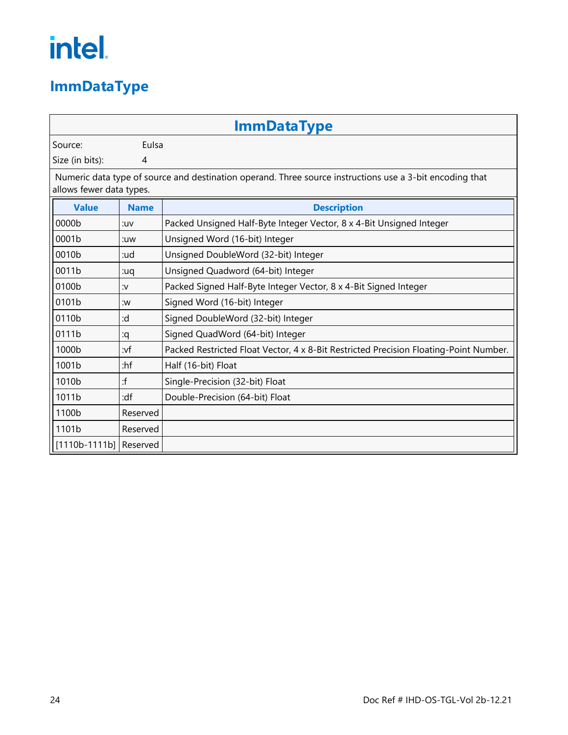### <span id="page-27-0"></span>**ImmDataType**

|                                                                                                                                      | <b>ImmDataType</b> |                                                                                       |  |  |
|--------------------------------------------------------------------------------------------------------------------------------------|--------------------|---------------------------------------------------------------------------------------|--|--|
| Source:                                                                                                                              | Eulsa              |                                                                                       |  |  |
| Size (in bits):                                                                                                                      | 4                  |                                                                                       |  |  |
| Numeric data type of source and destination operand. Three source instructions use a 3-bit encoding that<br>allows fewer data types. |                    |                                                                                       |  |  |
| <b>Value</b>                                                                                                                         | <b>Name</b>        | <b>Description</b>                                                                    |  |  |
| 0000b                                                                                                                                | :uv                | Packed Unsigned Half-Byte Integer Vector, 8 x 4-Bit Unsigned Integer                  |  |  |
| 0001b                                                                                                                                | :uw                | Unsigned Word (16-bit) Integer                                                        |  |  |
| 0010b                                                                                                                                | :ud                | Unsigned DoubleWord (32-bit) Integer                                                  |  |  |
| 0011b                                                                                                                                | :uq                | Unsigned Quadword (64-bit) Integer                                                    |  |  |
| 0100b                                                                                                                                | <b>:v</b>          | Packed Signed Half-Byte Integer Vector, 8 x 4-Bit Signed Integer                      |  |  |
| 0101b                                                                                                                                | :w                 | Signed Word (16-bit) Integer                                                          |  |  |
| 0110b                                                                                                                                | :d                 | Signed DoubleWord (32-bit) Integer                                                    |  |  |
| 0111b                                                                                                                                | :q                 | Signed QuadWord (64-bit) Integer                                                      |  |  |
| 1000b                                                                                                                                | :vf                | Packed Restricted Float Vector, 4 x 8-Bit Restricted Precision Floating-Point Number. |  |  |
| 1001b                                                                                                                                | :hf                | Half (16-bit) Float                                                                   |  |  |
| 1010b                                                                                                                                | :f                 | Single-Precision (32-bit) Float                                                       |  |  |
| 1011b                                                                                                                                | :df                | Double-Precision (64-bit) Float                                                       |  |  |
| 1100b                                                                                                                                | Reserved           |                                                                                       |  |  |
| 1101b                                                                                                                                | Reserved           |                                                                                       |  |  |
| $[1110b-1111b]$                                                                                                                      | Reserved           |                                                                                       |  |  |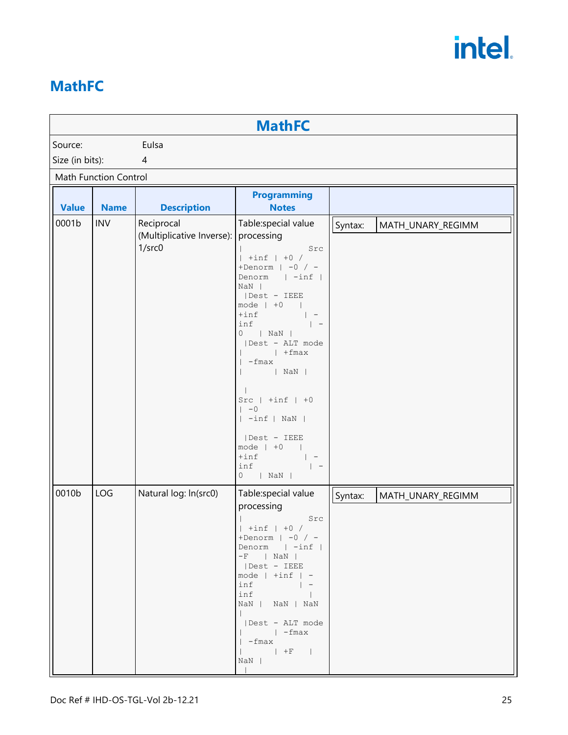#### <span id="page-28-0"></span>**MathFC**

| <b>MathFC</b>   |                              |                                                            |                                                                                                                                                                                                                                                                                                                                                                                                             |         |                   |
|-----------------|------------------------------|------------------------------------------------------------|-------------------------------------------------------------------------------------------------------------------------------------------------------------------------------------------------------------------------------------------------------------------------------------------------------------------------------------------------------------------------------------------------------------|---------|-------------------|
| Source:         |                              | Eulsa                                                      |                                                                                                                                                                                                                                                                                                                                                                                                             |         |                   |
| Size (in bits): |                              | 4                                                          |                                                                                                                                                                                                                                                                                                                                                                                                             |         |                   |
|                 | <b>Math Function Control</b> |                                                            |                                                                                                                                                                                                                                                                                                                                                                                                             |         |                   |
| <b>Value</b>    | <b>Name</b>                  | <b>Description</b>                                         | <b>Programming</b><br><b>Notes</b>                                                                                                                                                                                                                                                                                                                                                                          |         |                   |
| 0001b           | <b>INV</b>                   | Reciprocal<br>(Multiplicative Inverse):<br>$1/\text{srcO}$ | Table:special value<br>processing<br>Src<br>$+inf$   $+0$ /<br>+Denorm $ $ -0 / -<br>Denorm   -inf  <br>$NaN$  <br>  Dest - IEEE<br>mode $ +0$<br>$+$ inf<br>inf<br>$\vert -$<br>0<br>$ $ NaN $ $<br>  Dest - ALT mode<br>$ $ + fmax<br>-fmax<br>$ $ NaN $ $<br>$Src \mid +inf \mid +0$<br>$-0$<br>$ \text{-inf} $ NaN $ \text{-inf} $<br>  Dest - IEEE<br>mode $ +0$<br>$+$ inf<br>inf<br>0<br>$ $ NaN $ $ | Syntax: | MATH_UNARY_REGIMM |
| 0010b           | <b>LOG</b>                   | Natural log: ln(src0)                                      | Table:special value<br>processing<br>Src<br>$+inf$ $+0$ /<br>+Denorm $ -0$ / -<br>Denorm   -inf  <br>$-F$   NaN  <br>  Dest - IEEE<br>$mode$   $+inf$   $-$<br>$inf$   -<br>$inf$  <br>NaN   NaN   NaN<br>$\mathbb{R}^n$<br>  Dest - ALT mode<br>$ $ -fmax<br>  -fmax<br>NaN                                                                                                                                | Syntax: | MATH_UNARY_REGIMM |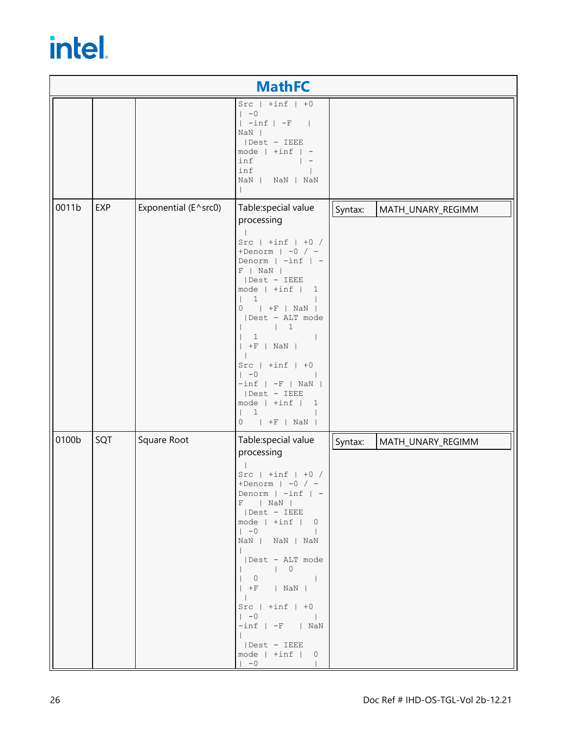|       |            |                      | <b>MathFC</b>                                                                                                                                                                                                                                                                                                                                                                                                                                |         |                   |
|-------|------------|----------------------|----------------------------------------------------------------------------------------------------------------------------------------------------------------------------------------------------------------------------------------------------------------------------------------------------------------------------------------------------------------------------------------------------------------------------------------------|---------|-------------------|
|       |            |                      | $Src   + inf   +0$<br>$\vert -0$<br>$ \text{-inf} -\text{-F} $<br>$NaN$  <br>  Dest - IEEE<br>$mode$   $+inf$   $-$<br>inf<br>inf<br>NaN   NaN   NaN<br>$\mathbf{I}$                                                                                                                                                                                                                                                                         |         |                   |
| 0011b | <b>EXP</b> | Exponential (E^src0) | Table:special value<br>processing<br>Src $ $ +inf $ $ +0 /<br>+Denorm $ $ -0 / -<br>Denorm   -inf   -<br>$F$   NaN  <br>Dest - IEEE<br>$mode$   $+inf$   1<br>$\overline{1}$<br>$0$   $+F$   NaN  <br>  Dest - ALT mode<br>$\vert$ 1<br>$\mathbf{1}$<br>$  +F  $ NaN $ $<br>$Src \mid +inf \mid +0$<br>$\vert -0$<br>$-int$   $-F$   NaN  <br>  Dest - IEEE<br>mode $  + inf   1$<br>1<br>$  +F  $ NaN  <br>0                                | Syntax: | MATH_UNARY_REGIMM |
| 0100b | SQT        | Square Root          | Table:special value<br>processing<br>Src $ $ +inf $ $ +0 /<br>+Denorm $ -0$ / -<br>Denorm $  -\inf  $<br>$F$   NaN  <br>  Dest - IEEE<br>$mode$   $+inf$   0<br>$\vert -0$ $\vert$<br>NaN   NaN   NaN<br>$\mathbb{R}^n$<br>  Dest - ALT mode<br>$  +F  $ $ $ NaN $ $<br>$\mathbb{R}$<br>$Src \mid +inf \mid +0$<br>$\vert -0 \vert$<br>$\sim$ 1<br>$-int$   $-F$   NaN<br>$\mathbb{R}^n$<br>Dest - IEEE<br>$mode$   $+inf$   0<br>$\vert -0$ | Syntax: | MATH_UNARY_REGIMM |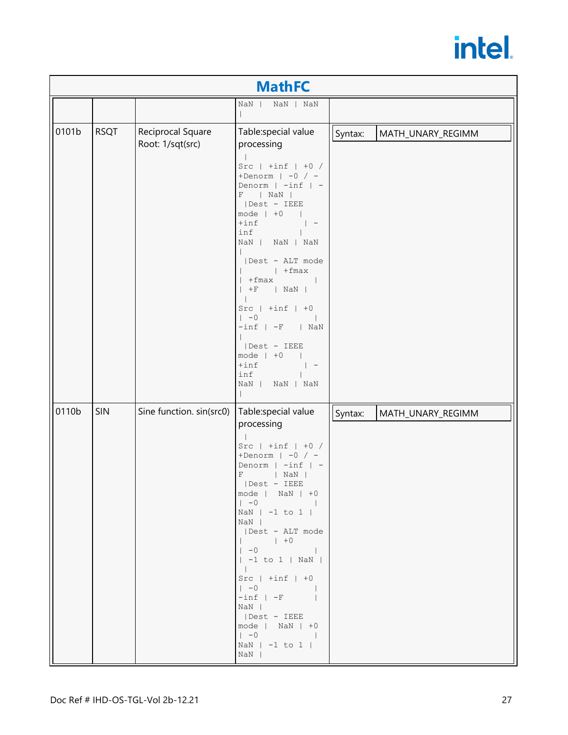|       |             |                                       | <b>MathFC</b>                                                                                                                                                                                                                                                                                                                                                                                                                                                                                                                                                                                                                                                                                   |                              |
|-------|-------------|---------------------------------------|-------------------------------------------------------------------------------------------------------------------------------------------------------------------------------------------------------------------------------------------------------------------------------------------------------------------------------------------------------------------------------------------------------------------------------------------------------------------------------------------------------------------------------------------------------------------------------------------------------------------------------------------------------------------------------------------------|------------------------------|
|       |             |                                       | $NaN$  <br>NaN   NaN                                                                                                                                                                                                                                                                                                                                                                                                                                                                                                                                                                                                                                                                            |                              |
| 0101b | <b>RSQT</b> | Reciprocal Square<br>Root: 1/sqt(src) | Table: special value<br>processing<br>Src $ $ +inf $ $ +0 /<br>+Denorm $ -0$ / -<br>Denorm $  -\inf   -$<br>$ $ NaN $ $<br>F<br>  Dest - IEEE<br>mode $ +0$<br>$+$ inf<br>$\vert$ $-$<br>inf<br>NaN   NaN   NaN<br>  Dest - ALT mode<br>$ $ + fmax<br>$+fmax$  <br>$+F$   NaN  <br>$Src   +inf   +0$<br>$\vert -0 \vert$<br>$\overline{\phantom{a}}$<br>$-int$   $-F$   NaN<br>  Dest - IEEE<br>mode $ +0$<br>$+$ inf<br>$\vert$ $-$<br>inf<br>NaN  <br>NaN   NaN                                                                                                                                                                                                                               | Syntax:<br>MATH_UNARY_REGIMM |
| 0110b | <b>SIN</b>  | Sine function. sin(src0)              | Table:special value<br>processing<br>Src $ $ +inf $ $ +0 /<br>+Denorm $ -0$ / -<br>Denorm $  -\inf   -$<br>F<br>$ $ NaN $ $<br>  Dest - IEEE<br>$mode$   $NaN$   $+0$<br>$\begin{array}{ccc} \vert & -0 & \vert & \vert & \vert \end{array}$<br>NaN $ -1$ to 1 $ $<br>NaN  <br>  Dest - ALT mode<br>$\vert +0$<br>$\begin{array}{ccc} \vert & -0 & \vert & \vert \end{array}$<br>$  -1$ to $1  $ NaN $ $<br>$\mathbb{R}$<br>$Src \mid +inf \mid +0$<br>$1 - 0$<br>$\begin{tabular}{llll} - \texttt{inf} & - \texttt{F} & \texttt{I} \end{tabular}$<br>NaN  <br>Dest - IEEE<br>$mode$   $NaN$   $+0$<br>$\begin{array}{ccc} \vert & -0 & \vert & \vert \end{array}$<br>NaN $ -1$ to 1 $ $<br>NaN | Syntax:<br>MATH_UNARY_REGIMM |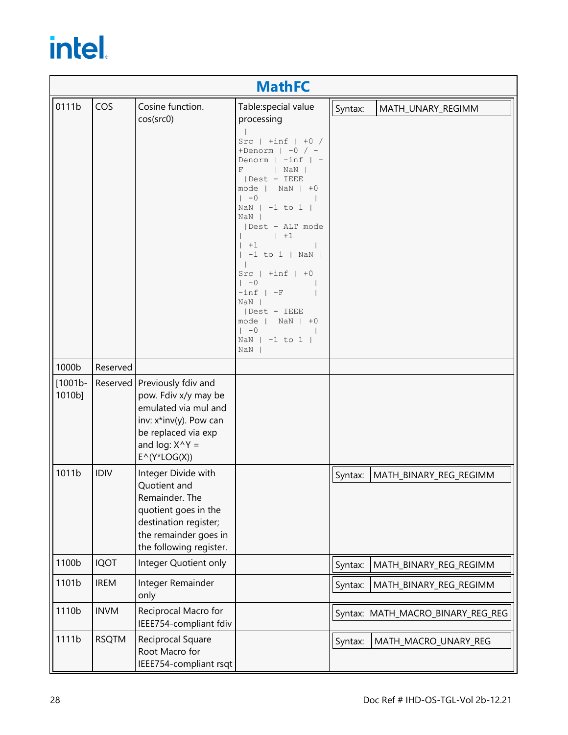|                      |              |                                                                                                                                                                                        | <b>MathFC</b>                                                                                                                                                                                                                                                                                                                                                                                                                                              |                                   |
|----------------------|--------------|----------------------------------------------------------------------------------------------------------------------------------------------------------------------------------------|------------------------------------------------------------------------------------------------------------------------------------------------------------------------------------------------------------------------------------------------------------------------------------------------------------------------------------------------------------------------------------------------------------------------------------------------------------|-----------------------------------|
| 0111b                | COS          | Cosine function.<br>cos(src0)                                                                                                                                                          | Table: special value<br>processing<br>Src $ $ +inf $ $ +0 /<br>+Denorm $ -0$ / -<br>Denorm $  -\inf   -$<br>$\mathbf F$<br>$ $ NaN $ $<br>  Dest - IEEE<br>$mode$   $NaN$   $+0$<br>$\vert -0 \vert$<br>NaN $ -1$ to 1  <br>$NaN$  <br>  Dest - ALT mode<br>$ +1$<br>$+1$<br>$  -1$ to $1  $ NaN $ $<br>$Src \mid +inf \mid +0$<br>$1 - 0$<br>$-int$ $-F$<br>$NaN$  <br>  Dest - IEEE<br>mode   NaN $\vert$ +0<br>$\vert -0$<br>NaN $ -1$ to $1 $<br>$NaN$ | Syntax:<br>MATH_UNARY_REGIMM      |
| 1000b                | Reserved     |                                                                                                                                                                                        |                                                                                                                                                                                                                                                                                                                                                                                                                                                            |                                   |
| $[1001b -$<br>1010b] |              | Reserved   Previously fdiv and<br>pow. Fdiv x/y may be<br>emulated via mul and<br>inv: x*inv(y). Pow can<br>be replaced via exp<br>and log: $X^{\wedge}Y =$<br>$E^{\wedge}(Y^*LOG(X))$ |                                                                                                                                                                                                                                                                                                                                                                                                                                                            |                                   |
| 1011b                | <b>IDIV</b>  | Integer Divide with<br>Quotient and<br>Remainder. The<br>quotient goes in the<br>destination register;<br>the remainder goes in<br>the following register.                             |                                                                                                                                                                                                                                                                                                                                                                                                                                                            | Syntax:<br>MATH_BINARY_REG_REGIMM |
| 1100b                | <b>IQOT</b>  | Integer Quotient only                                                                                                                                                                  |                                                                                                                                                                                                                                                                                                                                                                                                                                                            | MATH_BINARY_REG_REGIMM<br>Syntax: |
| 1101b                | <b>IREM</b>  | Integer Remainder<br>only                                                                                                                                                              |                                                                                                                                                                                                                                                                                                                                                                                                                                                            | Syntax:<br>MATH_BINARY_REG_REGIMM |
| 1110b                | <b>INVM</b>  | Reciprocal Macro for<br>IEEE754-compliant fdiv                                                                                                                                         |                                                                                                                                                                                                                                                                                                                                                                                                                                                            | Syntax: MATH_MACRO_BINARY_REG_REG |
| 1111b                | <b>RSQTM</b> | Reciprocal Square<br>Root Macro for<br>IEEE754-compliant rsqt                                                                                                                          |                                                                                                                                                                                                                                                                                                                                                                                                                                                            | MATH_MACRO_UNARY_REG<br>Syntax:   |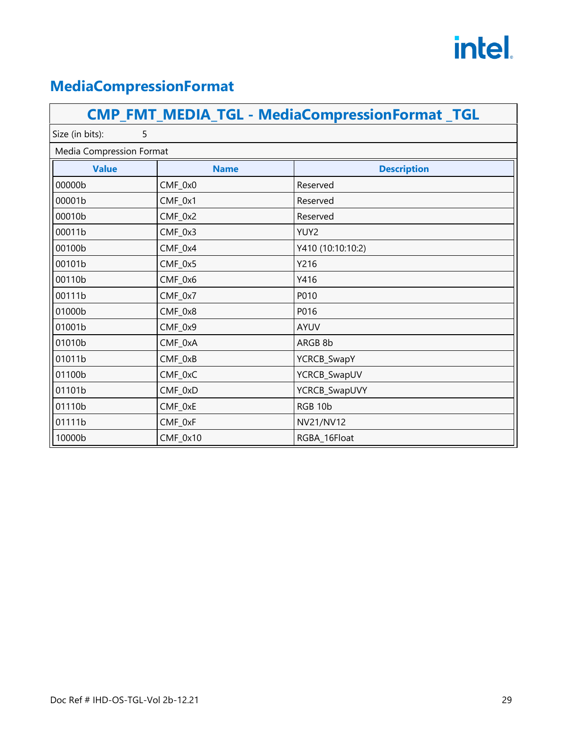#### <span id="page-32-0"></span>**MediaCompressionFormat**

|                          |             | <b>CMP_FMT_MEDIA_TGL - MediaCompressionFormat_TGL</b> |
|--------------------------|-------------|-------------------------------------------------------|
| Size (in bits):<br>5     |             |                                                       |
| Media Compression Format |             |                                                       |
| <b>Value</b>             | <b>Name</b> | <b>Description</b>                                    |
| 00000b                   | CMF_0x0     | Reserved                                              |
| 00001b                   | CMF_0x1     | Reserved                                              |
| 00010b                   | $CMF_0x2$   | Reserved                                              |
| 00011b                   | CMF_0x3     | YUY2                                                  |
| 00100b                   | $CMF_0x4$   | Y410 (10:10:10:2)                                     |
| 00101b                   | CMF_0x5     | Y216                                                  |
| 00110b                   | CMF_0x6     | Y416                                                  |
| 00111b                   | CMF_0x7     | P010                                                  |
| 01000b                   | $CMF_0x8$   | P016                                                  |
| 01001b                   | CMF_0x9     | <b>AYUV</b>                                           |
| 01010b                   | CMF_0xA     | ARGB 8b                                               |
| 01011b                   | CMF_0xB     | YCRCB_SwapY                                           |
| 01100b                   | CMF_0xC     | YCRCB_SwapUV                                          |
| 01101b                   | CMF_0xD     | YCRCB_SwapUVY                                         |
| 01110b                   | CMF_0xE     | RGB 10b                                               |
| 01111b                   | CMF_0xF     | <b>NV21/NV12</b>                                      |
| 10000b                   | $CMF_0x10$  | RGBA_16Float                                          |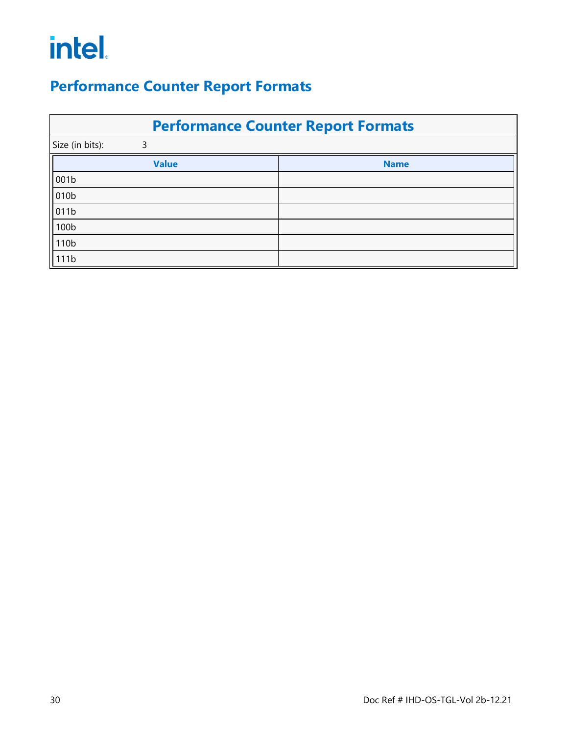#### <span id="page-33-0"></span>**Performance Counter Report Formats**

| <b>Performance Counter Report Formats</b> |             |  |  |
|-------------------------------------------|-------------|--|--|
| Size (in bits):<br>3                      |             |  |  |
| <b>Value</b>                              | <b>Name</b> |  |  |
| 001b                                      |             |  |  |
| 010b                                      |             |  |  |
| 011b                                      |             |  |  |
| 100b                                      |             |  |  |
| 110b                                      |             |  |  |
| 111b                                      |             |  |  |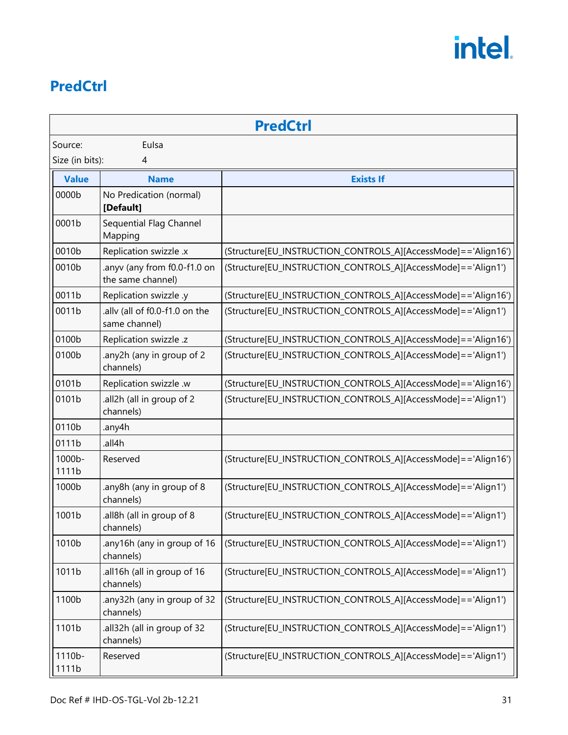#### <span id="page-34-0"></span>**PredCtrl**

|                 |                                                   | <b>PredCtrl</b>                                                  |
|-----------------|---------------------------------------------------|------------------------------------------------------------------|
| Source:         | Eulsa                                             |                                                                  |
| Size (in bits): | 4                                                 |                                                                  |
| <b>Value</b>    | <b>Name</b>                                       | <b>Exists If</b>                                                 |
| 0000b           | No Predication (normal)<br>[Default]              |                                                                  |
| 0001b           | Sequential Flag Channel<br>Mapping                |                                                                  |
| 0010b           | Replication swizzle .x                            | (Structure[EU_INSTRUCTION_CONTROLS_A][AccessMode]=='Align16')    |
| 0010b           | .anyv (any from f0.0-f1.0 on<br>the same channel) | (Structure[EU_INSTRUCTION_CONTROLS_A][AccessMode]=='Align1')     |
| 0011b           | Replication swizzle .y                            | (Structure[EU_INSTRUCTION_CONTROLS_A][AccessMode]=='Align16')    |
| 0011b           | ally (all of f0.0-f1.0 on the<br>same channel)    | (Structure[EU_INSTRUCTION_CONTROLS_A][AccessMode]=='Align1')     |
| 0100b           | Replication swizzle .z                            | (Structure[EU_INSTRUCTION_CONTROLS_A][AccessMode]=='Align16')    |
| 0100b           | any2h (any in group of 2<br>channels)             | (Structure[EU_INSTRUCTION_CONTROLS_A][AccessMode]=='Align1')     |
| 0101b           | Replication swizzle .w                            | (Structure[EU_INSTRUCTION_CONTROLS_A][AccessMode]=='Align16')    |
| 0101b           | all2h (all in group of 2<br>channels)             | (Structure[EU_INSTRUCTION_CONTROLS_A][AccessMode]=='Align1')     |
| 0110b           | .any4h                                            |                                                                  |
| 0111b           | .all4h                                            |                                                                  |
| 1000b-<br>1111b | Reserved                                          | (Structure[EU_INSTRUCTION_CONTROLS_A][AccessMode] = = 'Align16') |
| 1000b           | .any8h (any in group of 8<br>channels)            | (Structure[EU_INSTRUCTION_CONTROLS_A][AccessMode]=='Align1')     |
| 1001b           | all8h (all in group of 8<br>channels)             | (Structure[EU_INSTRUCTION_CONTROLS_A][AccessMode]=='Align1')     |
| 1010b           | any16h (any in group of 16<br>channels)           | (Structure[EU_INSTRUCTION_CONTROLS_A][AccessMode]=='Align1')     |
| 1011b           | all16h (all in group of 16<br>channels)           | (Structure[EU_INSTRUCTION_CONTROLS_A][AccessMode]=='Align1')     |
| 1100b           | .any32h (any in group of 32<br>channels)          | (Structure[EU_INSTRUCTION_CONTROLS_A][AccessMode]=='Align1')     |
| 1101b           | all32h (all in group of 32<br>channels)           | (Structure[EU_INSTRUCTION_CONTROLS_A][AccessMode]=='Align1')     |
| 1110b-<br>1111b | Reserved                                          | (Structure[EU_INSTRUCTION_CONTROLS_A][AccessMode]=='Align1')     |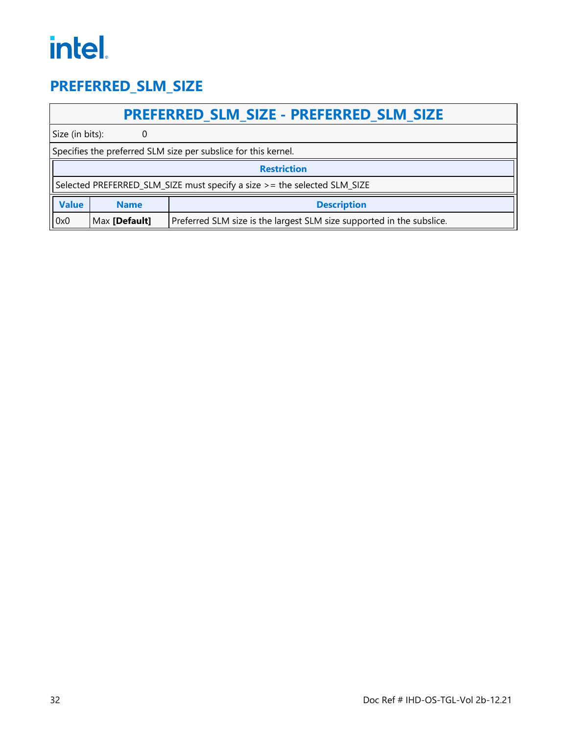#### <span id="page-35-0"></span>**PREFERRED\_SLM\_SIZE**

#### **PREFERRED\_SLM\_SIZE - PREFERRED\_SLM\_SIZE**

Size (in bits): 0

|              | Specifies the preferred SLM size per subslice for this kernel.            |                                                                       |  |
|--------------|---------------------------------------------------------------------------|-----------------------------------------------------------------------|--|
|              | <b>Restriction</b>                                                        |                                                                       |  |
|              | Selected PREFERRED_SLM_SIZE must specify a size > = the selected SLM_SIZE |                                                                       |  |
| <b>Value</b> | <b>Description</b><br><b>Name</b>                                         |                                                                       |  |
| 0x0          | Max [Default]                                                             | Preferred SLM size is the largest SLM size supported in the subslice. |  |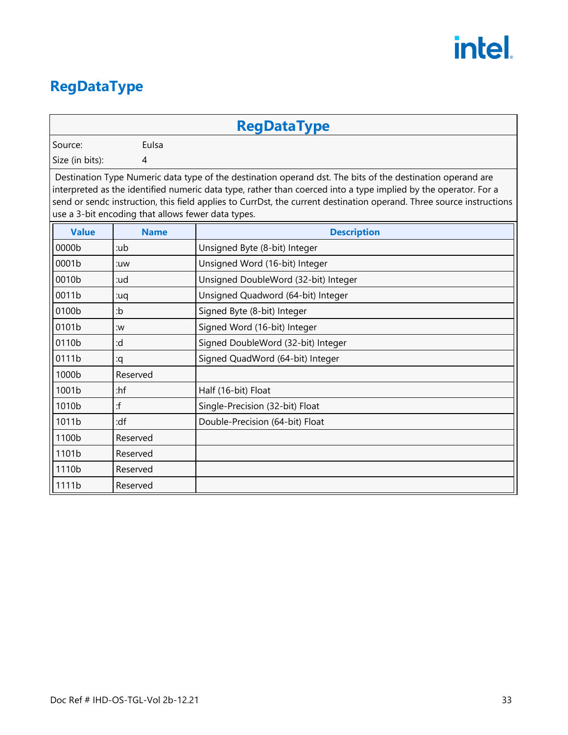#### <span id="page-36-0"></span>**RegDataType**

#### **RegDataType**

Source: Eulsa

Size (in bits): 4

Destination Type Numeric data type of the destination operand dst. The bits of the destination operand are interpreted as the identified numeric data type, rather than coerced into a type implied by the operator. For a send or sendc instruction, this field applies to CurrDst, the current destination operand. Three source instructions use a 3-bit encoding that allows fewer data types.

| <b>Value</b> | <b>Name</b> | <b>Description</b>                   |
|--------------|-------------|--------------------------------------|
| 0000b        | :ub         | Unsigned Byte (8-bit) Integer        |
| 0001b        | :uw         | Unsigned Word (16-bit) Integer       |
| 0010b        | :ud         | Unsigned DoubleWord (32-bit) Integer |
| 0011b        | pu:         | Unsigned Quadword (64-bit) Integer   |
| 0100b        | :b          | Signed Byte (8-bit) Integer          |
| 0101b        | :w          | Signed Word (16-bit) Integer         |
| 0110b        | :d          | Signed DoubleWord (32-bit) Integer   |
| 0111b        | :q          | Signed QuadWord (64-bit) Integer     |
| 1000b        | Reserved    |                                      |
| 1001b        | :hf         | Half (16-bit) Float                  |
| 1010b        | :f          | Single-Precision (32-bit) Float      |
| 1011b        | :df         | Double-Precision (64-bit) Float      |
| 1100b        | Reserved    |                                      |
| 1101b        | Reserved    |                                      |
| 1110b        | Reserved    |                                      |
| 1111b        | Reserved    |                                      |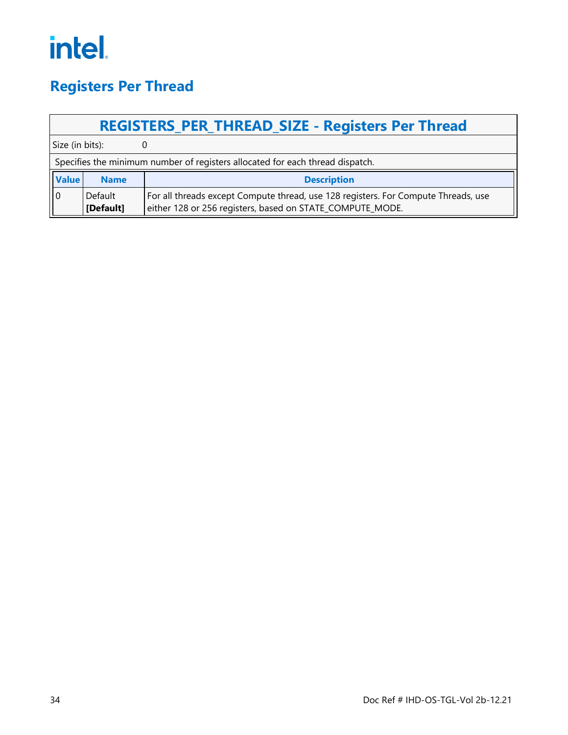#### <span id="page-37-0"></span>**Registers Per Thread**

|                 | <b>REGISTERS PER THREAD SIZE - Registers Per Thread</b>                       |                                                                                                                                                 |  |  |
|-----------------|-------------------------------------------------------------------------------|-------------------------------------------------------------------------------------------------------------------------------------------------|--|--|
| Size (in bits): |                                                                               |                                                                                                                                                 |  |  |
|                 | Specifies the minimum number of registers allocated for each thread dispatch. |                                                                                                                                                 |  |  |
| <b>Value</b>    | <b>Name</b>                                                                   | <b>Description</b>                                                                                                                              |  |  |
| ll 0            | Default<br>[Default]                                                          | For all threads except Compute thread, use 128 registers. For Compute Threads, use<br>either 128 or 256 registers, based on STATE_COMPUTE_MODE. |  |  |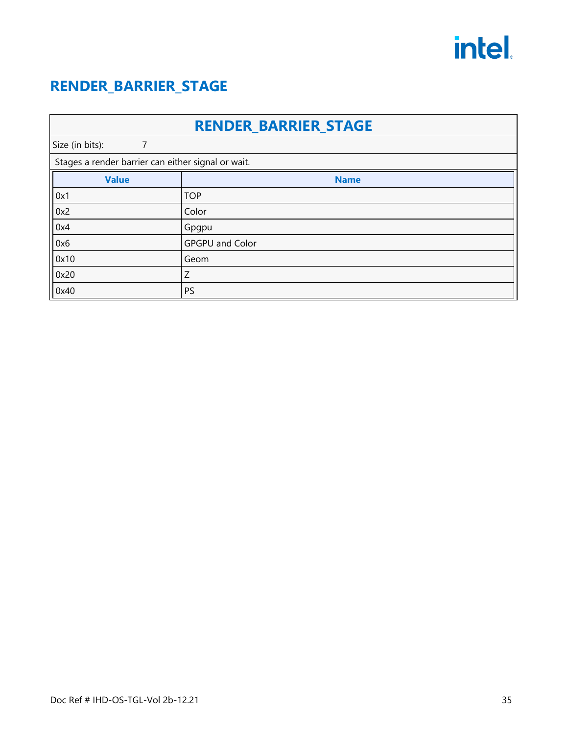#### <span id="page-38-0"></span>**RENDER\_BARRIER\_STAGE**

| <b>RENDER_BARRIER_STAGE</b> |                                                    |  |  |  |  |  |
|-----------------------------|----------------------------------------------------|--|--|--|--|--|
| Size (in bits):<br>7        |                                                    |  |  |  |  |  |
|                             | Stages a render barrier can either signal or wait. |  |  |  |  |  |
| <b>Value</b>                | <b>Name</b>                                        |  |  |  |  |  |
| 0x1                         | <b>TOP</b>                                         |  |  |  |  |  |
| $\vert$ 0x2                 | Color                                              |  |  |  |  |  |
| 0x4                         | Gpgpu                                              |  |  |  |  |  |
| 0x6                         | <b>GPGPU and Color</b>                             |  |  |  |  |  |
| $\vert$ 0x10                | Geom                                               |  |  |  |  |  |
| 0x20                        | Ζ                                                  |  |  |  |  |  |
| 0x40                        | PS                                                 |  |  |  |  |  |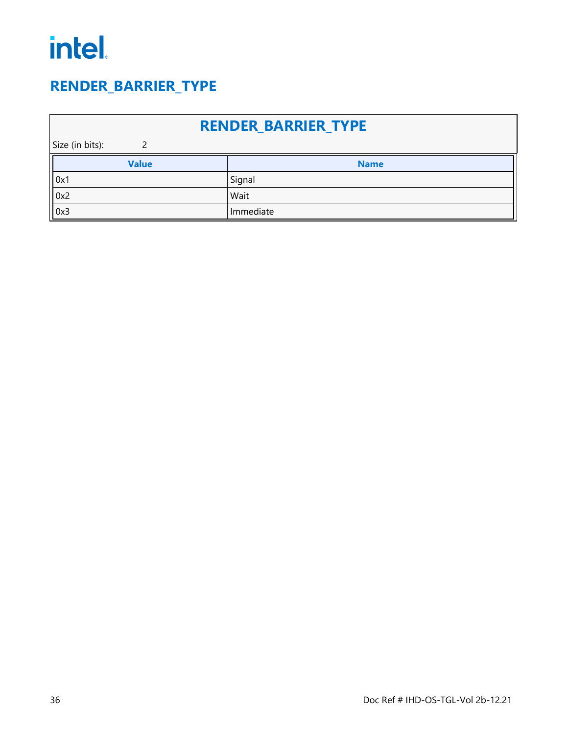#### <span id="page-39-0"></span>**RENDER\_BARRIER\_TYPE**

| <b>RENDER BARRIER TYPE</b> |              |             |  |  |  |
|----------------------------|--------------|-------------|--|--|--|
| Size (in bits):            |              |             |  |  |  |
|                            | <b>Value</b> | <b>Name</b> |  |  |  |
| 0x1                        |              | Signal      |  |  |  |
| 0x2                        |              | Wait        |  |  |  |
| $\parallel$ 0x3            |              | Immediate   |  |  |  |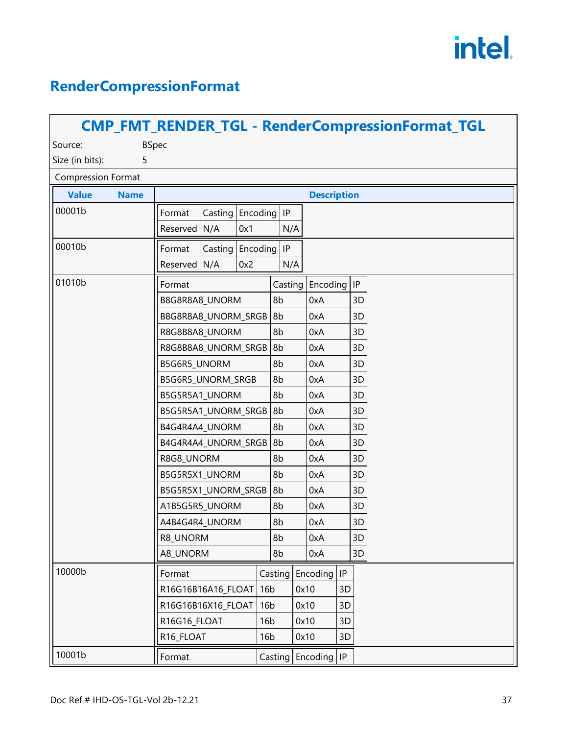### <span id="page-40-0"></span>**RenderCompressionFormat**

| <b>CMP_FMT_RENDER_TGL - RenderCompressionFormat_TGL</b> |              |                                       |                 |         |      |                         |    |          |  |
|---------------------------------------------------------|--------------|---------------------------------------|-----------------|---------|------|-------------------------|----|----------|--|
| Source:                                                 | <b>BSpec</b> |                                       |                 |         |      |                         |    |          |  |
| 5<br>Size (in bits):                                    |              |                                       |                 |         |      |                         |    |          |  |
| <b>Compression Format</b>                               |              |                                       |                 |         |      |                         |    |          |  |
| <b>Value</b>                                            | <b>Name</b>  |                                       |                 |         |      | <b>Description</b>      |    |          |  |
| 00001b                                                  |              | Casting<br>Format                     | Encoding IP     |         |      |                         |    |          |  |
|                                                         |              | N/A<br>Reserved                       | 0x1             | N/A     |      |                         |    |          |  |
| 00010b                                                  |              | Casting   Encoding   IP<br>Format     |                 |         |      |                         |    |          |  |
|                                                         |              | Reserved<br>N/A                       | 0x2             | N/A     |      |                         |    |          |  |
| 01010b                                                  |              | Format                                |                 | Casting |      | Encoding                |    | $\sf IP$ |  |
|                                                         |              | B8G8R8A8_UNORM                        |                 | 8b      |      | 0xA                     |    | 3D       |  |
|                                                         |              | B8G8R8A8_UNORM_SRGB                   |                 | 8b      |      | 0xA                     |    | 3D       |  |
|                                                         |              | R8G8B8A8_UNORM                        |                 | 8b      |      | 0xA                     |    | 3D       |  |
|                                                         |              | R8G8B8A8_UNORM_SRGB                   |                 | 8b      |      | 0xA                     |    | 3D       |  |
|                                                         |              | B5G6R5_UNORM                          |                 | 8b      |      | 0xA                     |    | 3D       |  |
|                                                         |              | B5G6R5_UNORM_SRGB                     |                 | 8b      |      | 0xA                     |    | 3D       |  |
|                                                         |              | B5G5R5A1_UNORM                        |                 | 8b      |      | 0xA                     |    | 3D       |  |
|                                                         |              | B5G5R5A1_UNORM_SRGB                   |                 | 8b      |      | 0xA                     |    | 3D       |  |
|                                                         |              | B4G4R4A4_UNORM                        |                 | 8b      |      | 0xA                     |    | 3D       |  |
|                                                         |              | B4G4R4A4_UNORM_SRGB                   |                 | 8b      |      | 0xA                     |    | 3D       |  |
|                                                         |              | R8G8_UNORM                            |                 | 8b      |      | 0xA                     |    | 3D       |  |
|                                                         |              | B5G5R5X1_UNORM                        |                 | 8b      | 0xA  |                         |    | 3D       |  |
|                                                         |              | B5G5R5X1_UNORM_SRGB                   |                 | 8b      |      | 0xA                     |    | 3D       |  |
|                                                         |              | A1B5G5R5_UNORM                        |                 | 8b      |      | 0xA                     |    | 3D       |  |
|                                                         |              | A4B4G4R4_UNORM                        |                 | 8b      |      | 0xA                     |    | 3D       |  |
|                                                         |              | R8_UNORM                              |                 | 8b      |      | 0xA                     |    | 3D       |  |
|                                                         |              | A8_UNORM                              |                 | 8b      |      | 0xA                     |    | 3D       |  |
| 10000b                                                  |              | Format                                |                 |         |      | Casting   Encoding   IP |    |          |  |
|                                                         |              | R16G16B16A16_FLOAT<br>16 <sub>b</sub> |                 | 0x10    |      |                         | 3D |          |  |
|                                                         |              | R16G16B16X16_FLOAT<br>16 <sub>b</sub> |                 |         | 0x10 |                         | 3D |          |  |
|                                                         |              | R16G16_FLOAT                          | 16 <sub>b</sub> |         | 0x10 |                         | 3D |          |  |
|                                                         |              | R16_FLOAT                             | 16 <sub>b</sub> |         | 0x10 |                         | 3D |          |  |
| 10001b                                                  |              | Format                                |                 |         |      | Casting   Encoding   IP |    |          |  |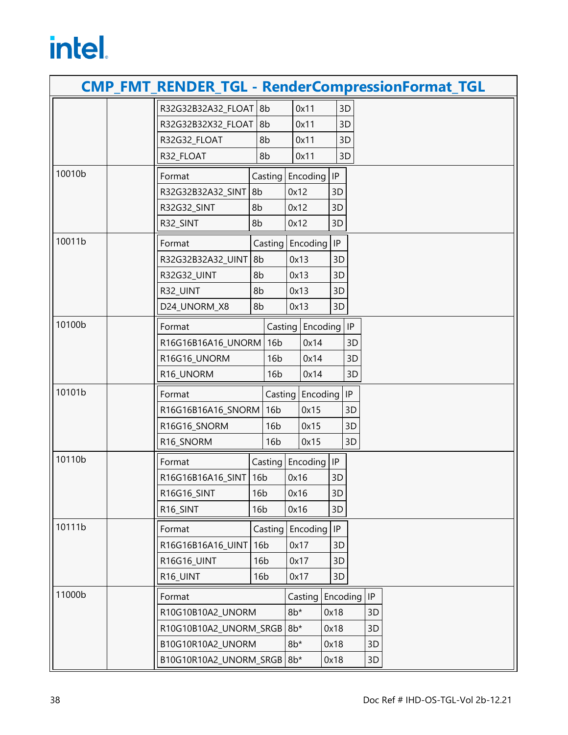|                   | <b>CMP_FMT_RENDER_TGL - RenderCompressionFormat_TGL</b> |                 |                 |          |                         |                            |          |    |  |  |  |
|-------------------|---------------------------------------------------------|-----------------|-----------------|----------|-------------------------|----------------------------|----------|----|--|--|--|
|                   | R32G32B32A32_FLOAT                                      | 8b              |                 | 0x11     |                         |                            | 3D       |    |  |  |  |
|                   | R32G32B32X32_FLOAT                                      |                 | 8b              |          | 0x11                    |                            | 3D       |    |  |  |  |
|                   | R32G32_FLOAT                                            |                 | 8b              | 0x11     |                         |                            | 3D       |    |  |  |  |
|                   | R32_FLOAT                                               | 8b              |                 | 0x11     |                         | 3D                         |          |    |  |  |  |
| 10010b            | Format                                                  | Casting         |                 | Encoding |                         | $\sf IP$                   |          |    |  |  |  |
|                   | R32G32B32A32_SINT                                       | 8b              |                 | 0x12     |                         | 3D                         |          |    |  |  |  |
|                   | R32G32_SINT                                             | 8b              |                 | 0x12     |                         | 3D                         |          |    |  |  |  |
|                   | R32_SINT                                                | 8b              |                 | 0x12     |                         | 3D                         |          |    |  |  |  |
| 10011b            | Format                                                  |                 | Casting         |          | Encoding                | IP                         |          |    |  |  |  |
|                   | R32G32B32A32_UINT                                       | 8b              |                 | 0x13     |                         | 3D                         |          |    |  |  |  |
|                   | R32G32_UINT                                             | 8b              |                 | 0x13     |                         | 3D                         |          |    |  |  |  |
|                   | R32_UINT                                                | 8b              |                 | 0x13     |                         | 3D                         |          |    |  |  |  |
|                   | D24 UNORM X8                                            | 8b              |                 | 0x13     |                         | 3D                         |          |    |  |  |  |
| 10100b            | Format                                                  |                 | Casting         |          | Encoding                |                            | $\sf IP$ |    |  |  |  |
|                   | R16G16B16A16_UNORM                                      |                 | 16 <sub>b</sub> |          | 0x14                    |                            | 3D       |    |  |  |  |
|                   | R16G16_UNORM                                            |                 | 16 <sub>b</sub> |          | 0x14                    |                            | 3D       |    |  |  |  |
|                   | R16_UNORM                                               |                 | 16 <sub>b</sub> |          | 0x14                    |                            | 3D       |    |  |  |  |
| 10101b            | Format                                                  |                 |                 |          | Casting   Encoding   IP |                            |          |    |  |  |  |
|                   | R16G16B16A16_SNORM                                      | 16 <sub>b</sub> |                 |          | 0x15                    |                            | 3D       |    |  |  |  |
|                   | R16G16_SNORM                                            |                 | 16 <sub>b</sub> |          | 0x15                    |                            | 3D       |    |  |  |  |
|                   | R16_SNORM                                               |                 | 16 <sub>b</sub> |          | 0x15                    |                            | 3D       |    |  |  |  |
| 10110b            | Format                                                  | Casting         |                 |          | Encoding                | $\ensuremath{\mathsf{IP}}$ |          |    |  |  |  |
|                   | R16G16B16A16_SINT                                       |                 | 16 <sub>b</sub> |          | 0x16                    | 3D                         |          |    |  |  |  |
|                   | R16G16_SINT                                             | 16 <sub>b</sub> |                 | 0x16     |                         | 3D                         |          |    |  |  |  |
|                   | R16_SINT                                                | 16 <sub>b</sub> |                 | 0x16     |                         | 3D                         |          |    |  |  |  |
| 10111b            | Format                                                  |                 | Casting         |          | Encoding                | IP                         |          |    |  |  |  |
|                   | R16G16B16A16_UINT                                       | 16 <sub>b</sub> |                 | 0x17     |                         | 3D                         |          |    |  |  |  |
|                   | R16G16_UINT                                             | 16 <sub>b</sub> |                 | 0x17     |                         | 3D                         |          |    |  |  |  |
|                   | R16_UINT                                                | 16 <sub>b</sub> |                 | 0x17     |                         | 3D                         |          |    |  |  |  |
| 11000b            | Format                                                  |                 |                 | Casting  |                         |                            | Encoding | P  |  |  |  |
| R10G10B10A2_UNORM |                                                         | $8b*$           |                 | 0x18     |                         | 3D                         |          |    |  |  |  |
|                   | R10G10B10A2_UNORM_SRGB                                  |                 |                 | $8b*$    |                         | 0x18                       |          | 3D |  |  |  |
|                   | B10G10R10A2_UNORM                                       |                 |                 | $8b*$    |                         | 0x18                       |          | 3D |  |  |  |
|                   | B10G10R10A2_UNORM_SRGB                                  |                 |                 | $8b*$    |                         | 0x18                       |          | 3D |  |  |  |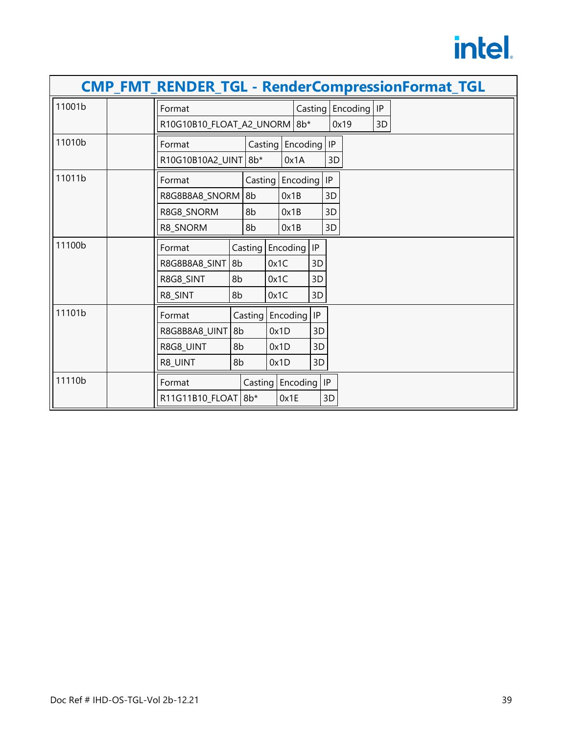|        |                              |    |                        |                    |          |    |    |                         |    | <b>CMP_FMT_RENDER_TGL - RenderCompressionFormat_TGL</b> |
|--------|------------------------------|----|------------------------|--------------------|----------|----|----|-------------------------|----|---------------------------------------------------------|
| 11001b | Format                       |    |                        |                    |          |    |    | Casting   Encoding   IP |    |                                                         |
|        | R10G10B10_FLOAT_A2_UNORM 8b* |    |                        |                    |          |    |    | 0x19                    | 3D |                                                         |
| 11010b | Format                       |    | Casting                |                    | Encoding |    | IP |                         |    |                                                         |
|        | R10G10B10A2_UINT 8b*         |    |                        |                    | 0x1A     |    | 3D |                         |    |                                                         |
| 11011b | Format                       |    | Casting                |                    | Encoding |    | IP |                         |    |                                                         |
|        | R8G8B8A8_SNORM               |    | 8b                     | 0x1B               |          |    | 3D |                         |    |                                                         |
|        | R8G8_SNORM                   |    | 8b                     | 0x1B               |          |    | 3D |                         |    |                                                         |
|        | R8_SNORM                     |    | 8b                     | 0x1B               |          |    | 3D |                         |    |                                                         |
| 11100b | Format                       |    | Encoding IP<br>Casting |                    |          |    |    |                         |    |                                                         |
|        | R8G8B8A8_SINT                | 8b | 0x1C                   |                    |          | 3D |    |                         |    |                                                         |
|        | R8G8_SINT                    | 8b | 0x1C                   |                    |          | 3D |    |                         |    |                                                         |
|        | R8_SINT                      | 8b |                        | 0x1C               |          | 3D |    |                         |    |                                                         |
| 11101b | Format                       |    |                        | Casting Encoding   |          | P  |    |                         |    |                                                         |
|        | R8G8B8A8_UINT                | 8b |                        | 0x1D               |          | 3D |    |                         |    |                                                         |
|        | R8G8_UINT                    | 8b |                        | 0x1D               |          | 3D |    |                         |    |                                                         |
|        | R8_UINT                      | 8b |                        | 0x1D               |          | 3D |    |                         |    |                                                         |
| 11110b | Format                       |    |                        | Casting   Encoding |          | P  |    |                         |    |                                                         |
|        | R11G11B10_FLOAT              |    | $8b*$                  | 0x1E               |          |    | 3D |                         |    |                                                         |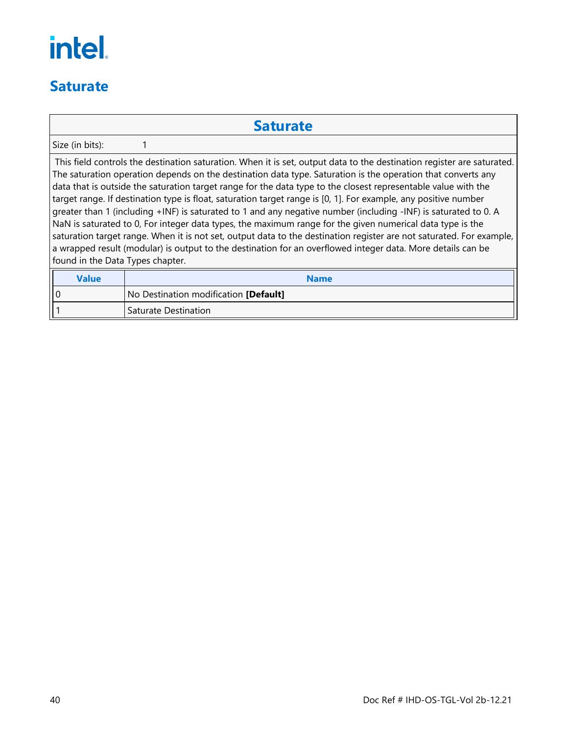#### <span id="page-43-0"></span>**Saturate**

#### **Saturate**

Size (in bits): 1

This field controls the destination saturation. When it is set, output data to the destination register are saturated. The saturation operation depends on the destination data type. Saturation is the operation that converts any data that is outside the saturation target range for the data type to the closest representable value with the target range. If destination type is float, saturation target range is [0, 1]. For example, any positive number greater than 1 (including +INF) is saturated to 1 and any negative number (including -INF) is saturated to 0. A NaN is saturated to 0, For integer data types, the maximum range for the given numerical data type is the saturation target range. When it is not set, output data to the destination register are not saturated. For example, a wrapped result (modular) is output to the destination for an overflowed integer data. More details can be found in the Data Types chapter.

| Value | <b>Name</b>                           |  |
|-------|---------------------------------------|--|
| l I 0 | No Destination modification [Default] |  |
|       | l Saturate Destination                |  |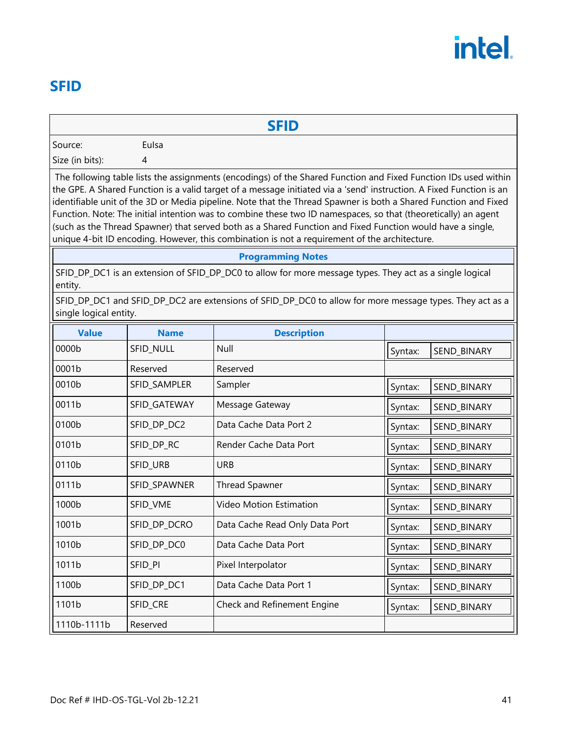#### <span id="page-44-0"></span>**SFID**

#### **SFID**

Source: Eulsa

Size (in bits): 4

The following table lists the assignments (encodings) of the Shared Function and Fixed Function IDs used within the GPE. A Shared Function is a valid target of a message initiated via a 'send' instruction. A Fixed Function is an identifiable unit of the 3D or Media pipeline. Note that the Thread Spawner is both a Shared Function and Fixed Function. Note: The initial intention was to combine these two ID namespaces, so that (theoretically) an agent (such as the Thread Spawner) that served both as a Shared Function and Fixed Function would have a single, unique 4-bit ID encoding. However, this combination is not a requirement of the architecture.

#### **Programming Notes**

SFID\_DP\_DC1 is an extension of SFID\_DP\_DC0 to allow for more message types. They act as a single logical entity.

SFID\_DP\_DC1 and SFID\_DP\_DC2 are extensions of SFID\_DP\_DC0 to allow for more message types. They act as a single logical entity.

| <b>Value</b> | <b>Name</b>  | <b>Description</b>             |         |             |
|--------------|--------------|--------------------------------|---------|-------------|
| 0000b        | SFID_NULL    | Null                           | Syntax: | SEND_BINARY |
| 0001b        | Reserved     | Reserved                       |         |             |
| 0010b        | SFID_SAMPLER | Sampler                        | Syntax: | SEND_BINARY |
| 0011b        | SFID_GATEWAY | Message Gateway                | Syntax: | SEND_BINARY |
| 0100b        | SFID_DP_DC2  | Data Cache Data Port 2         | Syntax: | SEND_BINARY |
| 0101b        | SFID_DP_RC   | Render Cache Data Port         | Syntax: | SEND_BINARY |
| 0110b        | SFID_URB     | <b>URB</b>                     | Syntax: | SEND_BINARY |
| 0111b        | SFID_SPAWNER | <b>Thread Spawner</b>          | Syntax: | SEND_BINARY |
| 1000b        | SFID_VME     | Video Motion Estimation        | Syntax: | SEND_BINARY |
| 1001b        | SFID_DP_DCRO | Data Cache Read Only Data Port | Syntax: | SEND_BINARY |
| 1010b        | SFID_DP_DC0  | Data Cache Data Port           | Syntax: | SEND_BINARY |
| 1011b        | SFID_PI      | Pixel Interpolator             | Syntax: | SEND_BINARY |
| 1100b        | SFID_DP_DC1  | Data Cache Data Port 1         | Syntax: | SEND_BINARY |
| 1101b        | SFID_CRE     | Check and Refinement Engine    | Syntax: | SEND_BINARY |
| 1110b-1111b  | Reserved     |                                |         |             |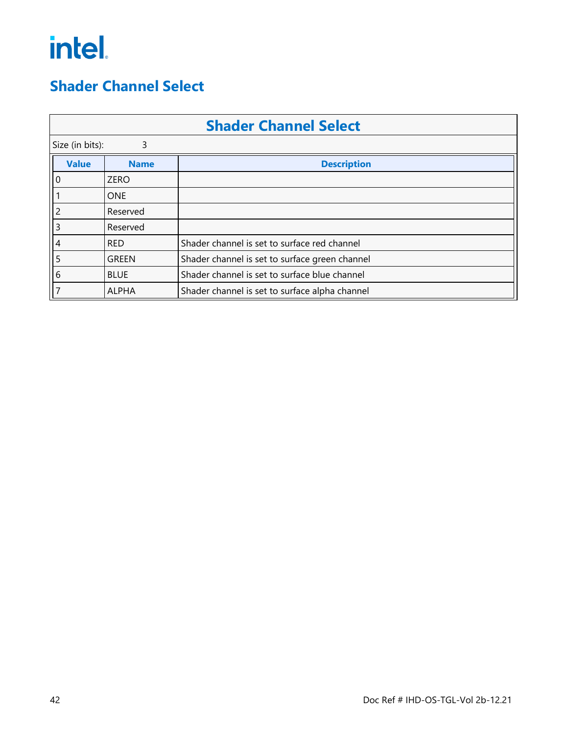#### <span id="page-45-0"></span>**Shader Channel Select**

| <b>Shader Channel Select</b> |              |                                                |  |  |  |  |  |
|------------------------------|--------------|------------------------------------------------|--|--|--|--|--|
| Size (in bits):              | 3            |                                                |  |  |  |  |  |
| <b>Value</b>                 | <b>Name</b>  | <b>Description</b>                             |  |  |  |  |  |
| 0                            | <b>ZERO</b>  |                                                |  |  |  |  |  |
|                              | <b>ONE</b>   |                                                |  |  |  |  |  |
|                              | Reserved     |                                                |  |  |  |  |  |
| 3                            | Reserved     |                                                |  |  |  |  |  |
| 4                            | <b>RED</b>   | Shader channel is set to surface red channel   |  |  |  |  |  |
| 5                            | <b>GREEN</b> | Shader channel is set to surface green channel |  |  |  |  |  |
| 6                            | <b>BLUE</b>  | Shader channel is set to surface blue channel  |  |  |  |  |  |
|                              | <b>ALPHA</b> | Shader channel is set to surface alpha channel |  |  |  |  |  |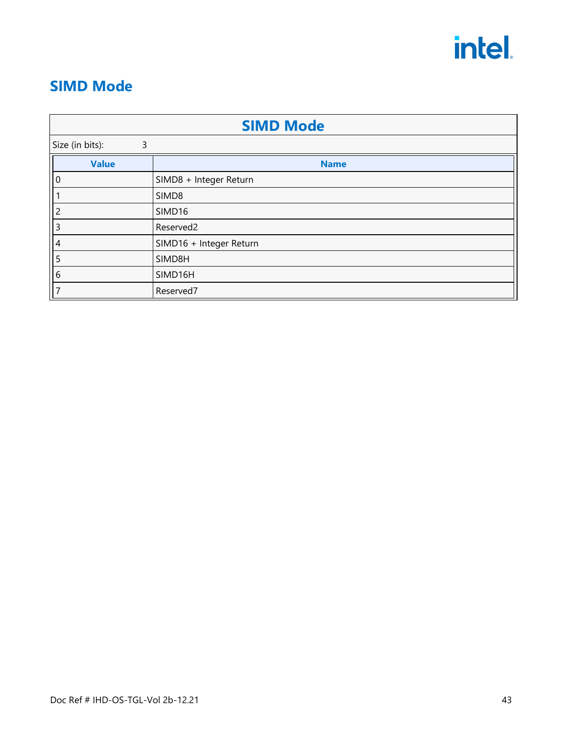

#### <span id="page-46-0"></span>**SIMD Mode**

| <b>SIMD Mode</b>     |                         |  |  |  |  |  |
|----------------------|-------------------------|--|--|--|--|--|
| Size (in bits):<br>3 |                         |  |  |  |  |  |
| <b>Value</b>         | <b>Name</b>             |  |  |  |  |  |
| 0                    | SIMD8 + Integer Return  |  |  |  |  |  |
|                      | SIMD8                   |  |  |  |  |  |
| 2                    | SIMD16                  |  |  |  |  |  |
| 3                    | Reserved2               |  |  |  |  |  |
| 4                    | SIMD16 + Integer Return |  |  |  |  |  |
| 5                    | SIMD8H                  |  |  |  |  |  |
| 6                    | SIMD16H                 |  |  |  |  |  |
|                      | Reserved7               |  |  |  |  |  |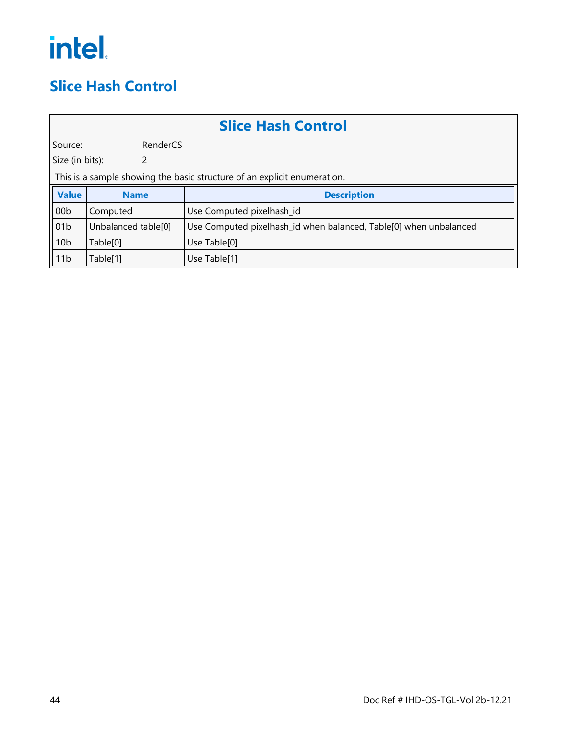#### <span id="page-47-0"></span>**Slice Hash Control**

|                     | <b>Slice Hash Control</b>                                                |                                                                   |  |  |  |  |
|---------------------|--------------------------------------------------------------------------|-------------------------------------------------------------------|--|--|--|--|
| RenderCS<br>Source: |                                                                          |                                                                   |  |  |  |  |
| Size (in bits):     | 2                                                                        |                                                                   |  |  |  |  |
|                     | This is a sample showing the basic structure of an explicit enumeration. |                                                                   |  |  |  |  |
| <b>Value</b>        | <b>Name</b>                                                              | <b>Description</b>                                                |  |  |  |  |
| 00 <sub>b</sub>     | Computed                                                                 | Use Computed pixelhash_id                                         |  |  |  |  |
| 01 <sub>b</sub>     | Unbalanced table[0]                                                      | Use Computed pixelhash_id when balanced, Table[0] when unbalanced |  |  |  |  |
| 10 <sub>b</sub>     | Table[0]                                                                 | Use Table[0]                                                      |  |  |  |  |
| 11 <sub>b</sub>     | Table[1]                                                                 | Use Table[1]                                                      |  |  |  |  |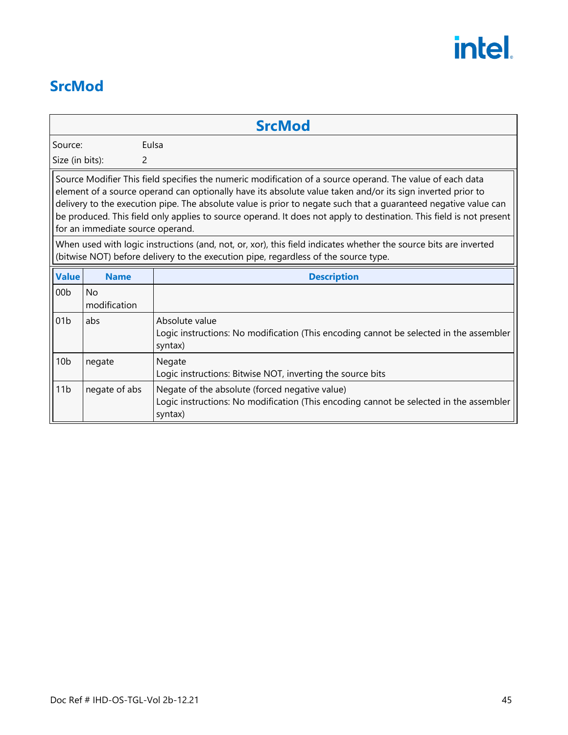#### <span id="page-48-0"></span>**SrcMod**

**SrcMod**

Source: Eulsa

Size (in bits): 2

Source Modifier This field specifies the numeric modification of a source operand. The value of each data element of a source operand can optionally have its absolute value taken and/or its sign inverted prior to delivery to the execution pipe. The absolute value is prior to negate such that a guaranteed negative value can be produced. This field only applies to source operand. It does not apply to destination. This field is not present for an immediate source operand.

When used with logic instructions (and, not, or, xor), this field indicates whether the source bits are inverted (bitwise NOT) before delivery to the execution pipe, regardless of the source type.

| <b>Value</b>    | <b>Name</b>         | <b>Description</b>                                                                                                                                  |
|-----------------|---------------------|-----------------------------------------------------------------------------------------------------------------------------------------------------|
| 00 <sub>b</sub> | No.<br>modification |                                                                                                                                                     |
| 01 <sub>b</sub> | abs                 | Absolute value<br>Logic instructions: No modification (This encoding cannot be selected in the assembler<br>syntax)                                 |
| 10 <sub>b</sub> | negate              | Negate<br>Logic instructions: Bitwise NOT, inverting the source bits                                                                                |
| 11 <sub>b</sub> | negate of abs       | Negate of the absolute (forced negative value)<br>Logic instructions: No modification (This encoding cannot be selected in the assembler<br>syntax) |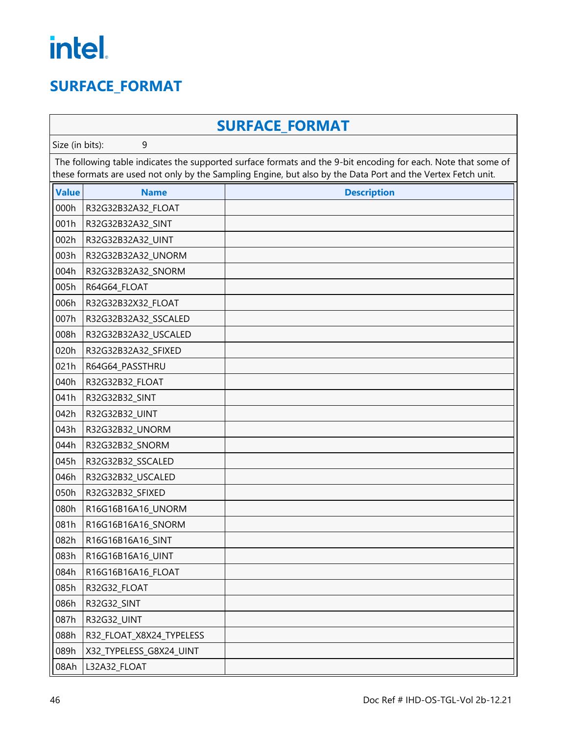#### <span id="page-49-0"></span>**SURFACE\_FORMAT**

|              | <b>SURFACE FORMAT</b>                                                                                                                                                                                                          |                    |  |  |  |  |
|--------------|--------------------------------------------------------------------------------------------------------------------------------------------------------------------------------------------------------------------------------|--------------------|--|--|--|--|
|              | Size (in bits):<br>9                                                                                                                                                                                                           |                    |  |  |  |  |
|              | The following table indicates the supported surface formats and the 9-bit encoding for each. Note that some of<br>these formats are used not only by the Sampling Engine, but also by the Data Port and the Vertex Fetch unit. |                    |  |  |  |  |
| <b>Value</b> | <b>Name</b>                                                                                                                                                                                                                    | <b>Description</b> |  |  |  |  |
| 000h         | R32G32B32A32 FLOAT                                                                                                                                                                                                             |                    |  |  |  |  |
| 001h         | R32G32B32A32_SINT                                                                                                                                                                                                              |                    |  |  |  |  |
| 002h         | R32G32B32A32_UINT                                                                                                                                                                                                              |                    |  |  |  |  |
| 003h         | R32G32B32A32_UNORM                                                                                                                                                                                                             |                    |  |  |  |  |
| 004h         | R32G32B32A32_SNORM                                                                                                                                                                                                             |                    |  |  |  |  |
| 005h         | R64G64_FLOAT                                                                                                                                                                                                                   |                    |  |  |  |  |
| 006h         | R32G32B32X32_FLOAT                                                                                                                                                                                                             |                    |  |  |  |  |
| 007h         | R32G32B32A32_SSCALED                                                                                                                                                                                                           |                    |  |  |  |  |
| 008h         | R32G32B32A32_USCALED                                                                                                                                                                                                           |                    |  |  |  |  |
| 020h         | R32G32B32A32_SFIXED                                                                                                                                                                                                            |                    |  |  |  |  |
| 021h         | R64G64_PASSTHRU                                                                                                                                                                                                                |                    |  |  |  |  |
| 040h         | R32G32B32 FLOAT                                                                                                                                                                                                                |                    |  |  |  |  |
| 041h         | R32G32B32_SINT                                                                                                                                                                                                                 |                    |  |  |  |  |
| 042h         | R32G32B32_UINT                                                                                                                                                                                                                 |                    |  |  |  |  |
| 043h         | R32G32B32_UNORM                                                                                                                                                                                                                |                    |  |  |  |  |
| 044h         | R32G32B32_SNORM                                                                                                                                                                                                                |                    |  |  |  |  |
| 045h         | R32G32B32_SSCALED                                                                                                                                                                                                              |                    |  |  |  |  |
| 046h         | R32G32B32_USCALED                                                                                                                                                                                                              |                    |  |  |  |  |
| 050h         | R32G32B32_SFIXED                                                                                                                                                                                                               |                    |  |  |  |  |
| 080h         | R16G16B16A16_UNORM                                                                                                                                                                                                             |                    |  |  |  |  |
| 081h         | R16G16B16A16_SNORM                                                                                                                                                                                                             |                    |  |  |  |  |
| 082h         | R16G16B16A16_SINT                                                                                                                                                                                                              |                    |  |  |  |  |
| 083h         | R16G16B16A16_UINT                                                                                                                                                                                                              |                    |  |  |  |  |
| 084h         | R16G16B16A16_FLOAT                                                                                                                                                                                                             |                    |  |  |  |  |
| 085h         | R32G32_FLOAT                                                                                                                                                                                                                   |                    |  |  |  |  |
| 086h         | R32G32_SINT                                                                                                                                                                                                                    |                    |  |  |  |  |
| 087h         | R32G32_UINT                                                                                                                                                                                                                    |                    |  |  |  |  |
| 088h         | R32_FLOAT_X8X24_TYPELESS                                                                                                                                                                                                       |                    |  |  |  |  |
| 089h         | X32_TYPELESS_G8X24_UINT                                                                                                                                                                                                        |                    |  |  |  |  |
| 08Ah         | L32A32_FLOAT                                                                                                                                                                                                                   |                    |  |  |  |  |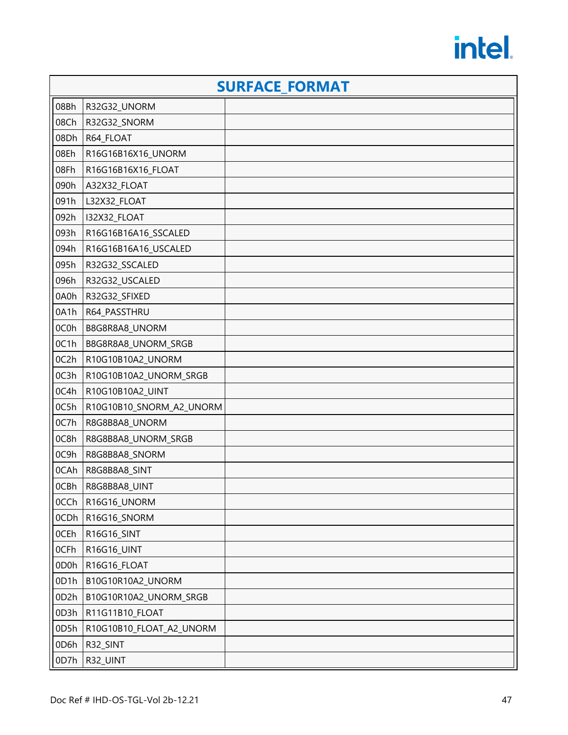|                   |                          | <b>SURFACE FORMAT</b> |  |  |  |
|-------------------|--------------------------|-----------------------|--|--|--|
| 08Bh              | R32G32_UNORM             |                       |  |  |  |
| 08Ch              | R32G32_SNORM             |                       |  |  |  |
| 08Dh              | R64_FLOAT                |                       |  |  |  |
| 08Eh              | R16G16B16X16_UNORM       |                       |  |  |  |
| 08Fh              | R16G16B16X16_FLOAT       |                       |  |  |  |
| 090h              | A32X32_FLOAT             |                       |  |  |  |
| 091h              | L32X32_FLOAT             |                       |  |  |  |
| 092h              | I32X32_FLOAT             |                       |  |  |  |
| 093h              | R16G16B16A16_SSCALED     |                       |  |  |  |
| 094h              | R16G16B16A16_USCALED     |                       |  |  |  |
| 095h              | R32G32_SSCALED           |                       |  |  |  |
| 096h              | R32G32_USCALED           |                       |  |  |  |
| 0A0h              | R32G32_SFIXED            |                       |  |  |  |
| 0A1h              | R64_PASSTHRU             |                       |  |  |  |
| 0C0h              | B8G8R8A8_UNORM           |                       |  |  |  |
| 0C1h              | B8G8R8A8_UNORM_SRGB      |                       |  |  |  |
| 0C2h              | R10G10B10A2_UNORM        |                       |  |  |  |
| 0C3h              | R10G10B10A2_UNORM_SRGB   |                       |  |  |  |
| 0C4h              | R10G10B10A2_UINT         |                       |  |  |  |
| 0C5h              | R10G10B10_SNORM_A2_UNORM |                       |  |  |  |
| 0C7h              | R8G8B8A8_UNORM           |                       |  |  |  |
| 0C8h              | R8G8B8A8_UNORM_SRGB      |                       |  |  |  |
| 0C9h              | R8G8B8A8_SNORM           |                       |  |  |  |
| 0CAh              | R8G8B8A8_SINT            |                       |  |  |  |
| 0CBh              | R8G8B8A8_UINT            |                       |  |  |  |
| 0CCh              | R16G16_UNORM             |                       |  |  |  |
| 0CDh              | R16G16_SNORM             |                       |  |  |  |
| 0CEh              | R16G16_SINT              |                       |  |  |  |
| 0CFh              | R16G16_UINT              |                       |  |  |  |
| 0D <sub>0</sub> h | R16G16_FLOAT             |                       |  |  |  |
| 0D1h              | B10G10R10A2_UNORM        |                       |  |  |  |
| 0D2h              | B10G10R10A2_UNORM_SRGB   |                       |  |  |  |
| 0D3h              | R11G11B10_FLOAT          |                       |  |  |  |
| 0D5h              | R10G10B10_FLOAT_A2_UNORM |                       |  |  |  |
| 0D6h              | R32_SINT                 |                       |  |  |  |
| 0D7h              | R32_UINT                 |                       |  |  |  |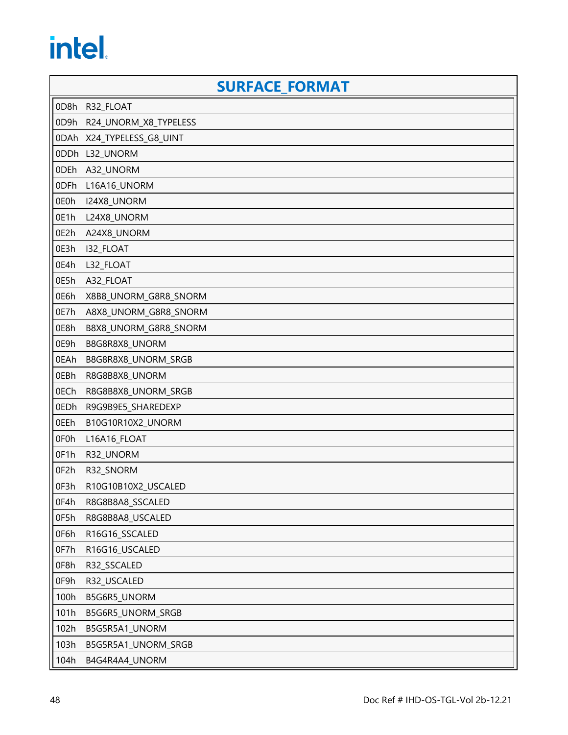|      |                             | <b>SURFACE FORMAT</b> |
|------|-----------------------------|-----------------------|
| 0D8h | R32_FLOAT                   |                       |
| 0D9h | R24_UNORM_X8_TYPELESS       |                       |
|      | 0DAh   X24_TYPELESS_G8_UINT |                       |
| 0DDh | L32_UNORM                   |                       |
| 0DEh | A32_UNORM                   |                       |
| 0DFh | L16A16_UNORM                |                       |
| 0E0h | I24X8_UNORM                 |                       |
| 0E1h | L24X8_UNORM                 |                       |
| 0E2h | A24X8_UNORM                 |                       |
| 0E3h | I32_FLOAT                   |                       |
| 0E4h | L32_FLOAT                   |                       |
| 0E5h | A32_FLOAT                   |                       |
| 0E6h | X8B8_UNORM_G8R8_SNORM       |                       |
| 0E7h | A8X8_UNORM_G8R8_SNORM       |                       |
| 0E8h | B8X8_UNORM_G8R8_SNORM       |                       |
| 0E9h | B8G8R8X8_UNORM              |                       |
| 0EAh | B8G8R8X8_UNORM_SRGB         |                       |
| 0EBh | R8G8B8X8_UNORM              |                       |
| 0ECh | R8G8B8X8_UNORM_SRGB         |                       |
| 0EDh | R9G9B9E5_SHAREDEXP          |                       |
| 0EEh | B10G10R10X2_UNORM           |                       |
| 0F0h | L16A16_FLOAT                |                       |
| OF1h | R32_UNORM                   |                       |
| 0F2h | R32_SNORM                   |                       |
| OF3h | R10G10B10X2_USCALED         |                       |
| 0F4h | R8G8B8A8_SSCALED            |                       |
| 0F5h | R8G8B8A8_USCALED            |                       |
| 0F6h | R16G16_SSCALED              |                       |
| 0F7h | R16G16_USCALED              |                       |
| 0F8h | R32_SSCALED                 |                       |
| 0F9h | R32_USCALED                 |                       |
| 100h | B5G6R5_UNORM                |                       |
| 101h | B5G6R5_UNORM_SRGB           |                       |
| 102h | B5G5R5A1_UNORM              |                       |
| 103h | B5G5R5A1_UNORM_SRGB         |                       |
| 104h | B4G4R4A4_UNORM              |                       |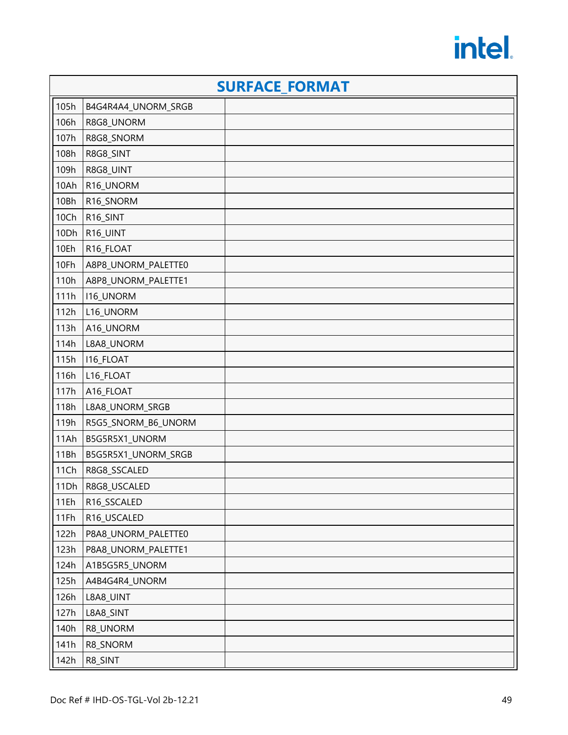|      | <b>SURFACE FORMAT</b> |  |  |
|------|-----------------------|--|--|
| 105h | B4G4R4A4_UNORM_SRGB   |  |  |
| 106h | R8G8_UNORM            |  |  |
| 107h | R8G8_SNORM            |  |  |
| 108h | R8G8_SINT             |  |  |
| 109h | R8G8_UINT             |  |  |
| 10Ah | R16_UNORM             |  |  |
| 10Bh | R16_SNORM             |  |  |
| 10Ch | R16_SINT              |  |  |
| 10Dh | R16_UINT              |  |  |
| 10Eh | R16_FLOAT             |  |  |
| 10Fh | A8P8_UNORM_PALETTE0   |  |  |
| 110h | A8P8_UNORM_PALETTE1   |  |  |
| 111h | <b>I16_UNORM</b>      |  |  |
| 112h | L16_UNORM             |  |  |
| 113h | A16_UNORM             |  |  |
| 114h | L8A8_UNORM            |  |  |
| 115h | I16_FLOAT             |  |  |
| 116h | L16_FLOAT             |  |  |
| 117h | A16_FLOAT             |  |  |
| 118h | L8A8_UNORM_SRGB       |  |  |
| 119h | R5G5_SNORM_B6_UNORM   |  |  |
| 11Ah | B5G5R5X1_UNORM        |  |  |
| 11Bh | B5G5R5X1_UNORM_SRGB   |  |  |
| 11Ch | R8G8_SSCALED          |  |  |
| 11Dh | R8G8_USCALED          |  |  |
| 11Eh | R16_SSCALED           |  |  |
| 11Fh | R16_USCALED           |  |  |
| 122h | P8A8_UNORM_PALETTE0   |  |  |
| 123h | P8A8_UNORM_PALETTE1   |  |  |
| 124h | A1B5G5R5_UNORM        |  |  |
| 125h | A4B4G4R4_UNORM        |  |  |
| 126h | L8A8_UINT             |  |  |
| 127h | L8A8_SINT             |  |  |
| 140h | R8_UNORM              |  |  |
| 141h | R8_SNORM              |  |  |
| 142h | R8_SINT               |  |  |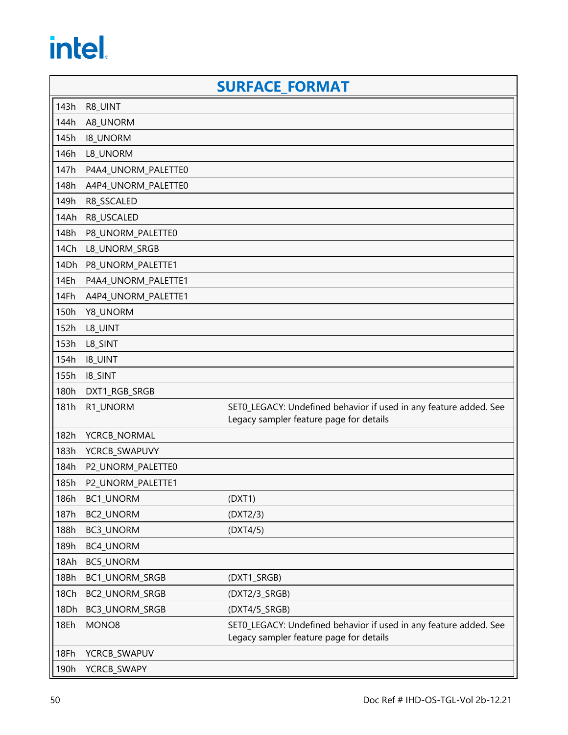|      |                     | <b>SURFACE FORMAT</b>                                                                                        |
|------|---------------------|--------------------------------------------------------------------------------------------------------------|
| 143h | R8_UINT             |                                                                                                              |
| 144h | A8_UNORM            |                                                                                                              |
| 145h | <b>I8_UNORM</b>     |                                                                                                              |
| 146h | L8_UNORM            |                                                                                                              |
| 147h | P4A4_UNORM_PALETTE0 |                                                                                                              |
| 148h | A4P4_UNORM_PALETTE0 |                                                                                                              |
| 149h | R8_SSCALED          |                                                                                                              |
| 14Ah | R8_USCALED          |                                                                                                              |
| 14Bh | P8_UNORM_PALETTE0   |                                                                                                              |
| 14Ch | L8_UNORM_SRGB       |                                                                                                              |
| 14Dh | P8_UNORM_PALETTE1   |                                                                                                              |
| 14Eh | P4A4_UNORM_PALETTE1 |                                                                                                              |
| 14Fh | A4P4_UNORM_PALETTE1 |                                                                                                              |
| 150h | Y8_UNORM            |                                                                                                              |
| 152h | L8_UINT             |                                                                                                              |
| 153h | L8_SINT             |                                                                                                              |
| 154h | <b>I8_UINT</b>      |                                                                                                              |
| 155h | <b>I8_SINT</b>      |                                                                                                              |
| 180h | DXT1_RGB_SRGB       |                                                                                                              |
| 181h | R1_UNORM            | SETO_LEGACY: Undefined behavior if used in any feature added. See<br>Legacy sampler feature page for details |
| 182h | YCRCB_NORMAL        |                                                                                                              |
| 183h | YCRCB_SWAPUVY       |                                                                                                              |
| 184h | P2_UNORM_PALETTE0   |                                                                                                              |
| 185h | P2_UNORM_PALETTE1   |                                                                                                              |
| 186h | <b>BC1 UNORM</b>    | (DXT1)                                                                                                       |
| 187h | BC2_UNORM           | (DXT2/3)                                                                                                     |
| 188h | BC3_UNORM           | (DXT4/5)                                                                                                     |
| 189h | BC4_UNORM           |                                                                                                              |
| 18Ah | BC5_UNORM           |                                                                                                              |
| 18Bh | BC1_UNORM_SRGB      | (DXT1_SRGB)                                                                                                  |
| 18Ch | BC2_UNORM_SRGB      | (DXT2/3_SRGB)                                                                                                |
| 18Dh | BC3_UNORM_SRGB      | (DXT4/5_SRGB)                                                                                                |
| 18Eh | MONO8               | SET0_LEGACY: Undefined behavior if used in any feature added. See<br>Legacy sampler feature page for details |
| 18Fh | YCRCB_SWAPUV        |                                                                                                              |
| 190h | YCRCB_SWAPY         |                                                                                                              |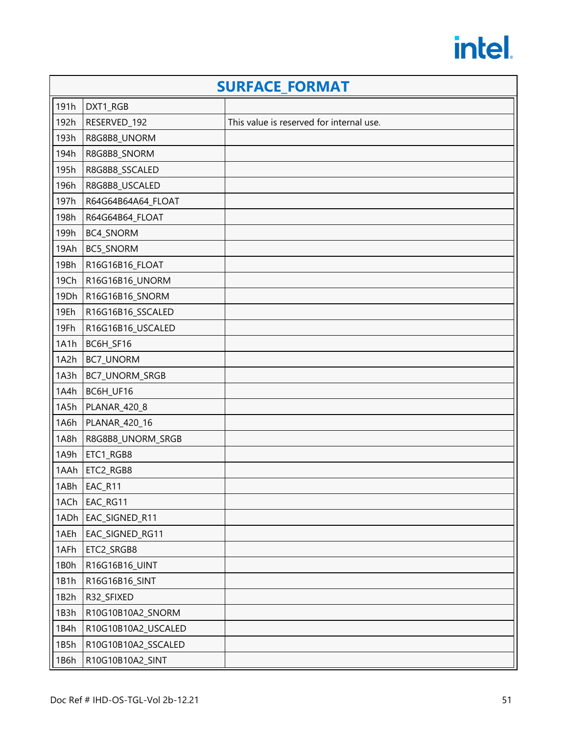|      |                     | <b>SURFACE FORMAT</b>                    |
|------|---------------------|------------------------------------------|
| 191h | DXT1_RGB            |                                          |
| 192h | RESERVED_192        | This value is reserved for internal use. |
| 193h | R8G8B8_UNORM        |                                          |
| 194h | R8G8B8_SNORM        |                                          |
| 195h | R8G8B8_SSCALED      |                                          |
| 196h | R8G8B8_USCALED      |                                          |
| 197h | R64G64B64A64_FLOAT  |                                          |
| 198h | R64G64B64_FLOAT     |                                          |
| 199h | BC4_SNORM           |                                          |
| 19Ah | BC5_SNORM           |                                          |
| 19Bh | R16G16B16_FLOAT     |                                          |
| 19Ch | R16G16B16_UNORM     |                                          |
| 19Dh | R16G16B16_SNORM     |                                          |
| 19Eh | R16G16B16_SSCALED   |                                          |
| 19Fh | R16G16B16_USCALED   |                                          |
| 1A1h | BC6H_SF16           |                                          |
| 1A2h | BC7_UNORM           |                                          |
| 1A3h | BC7_UNORM_SRGB      |                                          |
| 1A4h | BC6H_UF16           |                                          |
| 1A5h | PLANAR_420_8        |                                          |
| 1A6h | PLANAR_420_16       |                                          |
| 1A8h | R8G8B8_UNORM_SRGB   |                                          |
| 1A9h | ETC1_RGB8           |                                          |
| 1AAh | ETC2_RGB8           |                                          |
| 1ABh | EAC_R11             |                                          |
| 1ACh | EAC_RG11            |                                          |
| 1ADh | EAC_SIGNED_R11      |                                          |
| 1AEh | EAC_SIGNED_RG11     |                                          |
| 1AFh | ETC2_SRGB8          |                                          |
| 1B0h | R16G16B16_UINT      |                                          |
| 1B1h | R16G16B16_SINT      |                                          |
| 1B2h | R32_SFIXED          |                                          |
| 1B3h | R10G10B10A2_SNORM   |                                          |
| 1B4h | R10G10B10A2_USCALED |                                          |
| 1B5h | R10G10B10A2_SSCALED |                                          |
| 1B6h | R10G10B10A2_SINT    |                                          |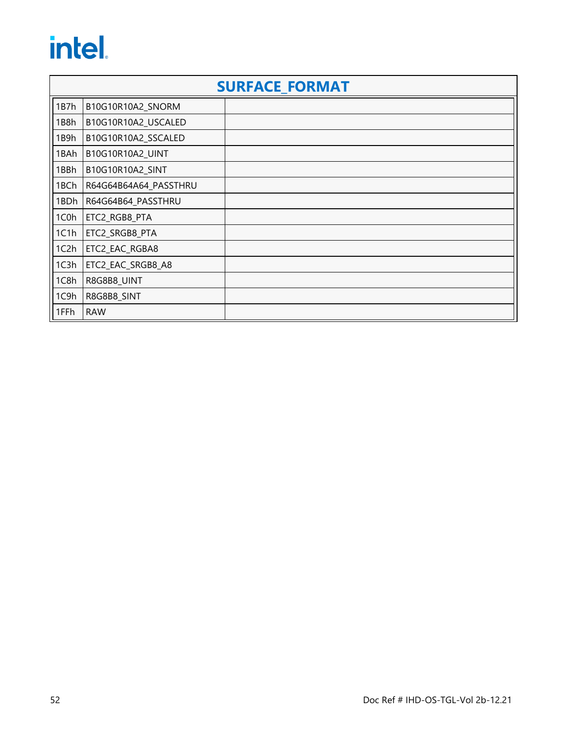|                   | <b>SURFACE FORMAT</b> |  |  |
|-------------------|-----------------------|--|--|
| 1B7h              | B10G10R10A2_SNORM     |  |  |
| 1B8h              | B10G10R10A2_USCALED   |  |  |
| 1B9h              | B10G10R10A2 SSCALED   |  |  |
| 1BAh              | B10G10R10A2_UINT      |  |  |
| 1BBh              | B10G10R10A2_SINT      |  |  |
| 1BCh              | R64G64B64A64_PASSTHRU |  |  |
| 1BDh              | R64G64B64_PASSTHRU    |  |  |
| 1C0h              | ETC2_RGB8_PTA         |  |  |
| 1C1h              | ETC2_SRGB8_PTA        |  |  |
| 1C <sub>2</sub> h | ETC2_EAC_RGBA8        |  |  |
| 1C3h              | ETC2_EAC_SRGB8_A8     |  |  |
| 1C8h              | R8G8B8_UINT           |  |  |
| 1C9h              | R8G8B8_SINT           |  |  |
| 1FFh              | <b>RAW</b>            |  |  |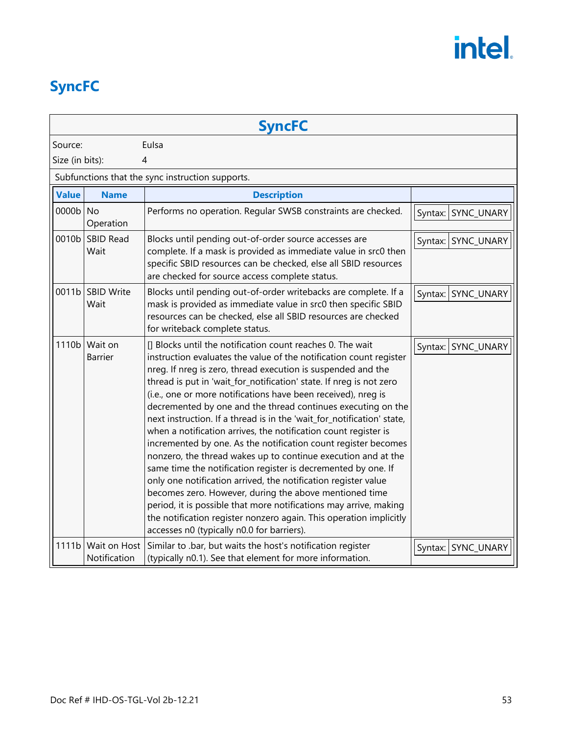### <span id="page-56-0"></span>**SyncFC**

|                 |                              | <b>SyncFC</b>                                                                                                                                                                                                                                                                                                                                                                                                                                                                                                                                                                                                                                                                                                                                                                                                                                                                                                                                                                                                                                                                  |                    |
|-----------------|------------------------------|--------------------------------------------------------------------------------------------------------------------------------------------------------------------------------------------------------------------------------------------------------------------------------------------------------------------------------------------------------------------------------------------------------------------------------------------------------------------------------------------------------------------------------------------------------------------------------------------------------------------------------------------------------------------------------------------------------------------------------------------------------------------------------------------------------------------------------------------------------------------------------------------------------------------------------------------------------------------------------------------------------------------------------------------------------------------------------|--------------------|
| Source:         |                              | Eulsa                                                                                                                                                                                                                                                                                                                                                                                                                                                                                                                                                                                                                                                                                                                                                                                                                                                                                                                                                                                                                                                                          |                    |
| Size (in bits): |                              | 4                                                                                                                                                                                                                                                                                                                                                                                                                                                                                                                                                                                                                                                                                                                                                                                                                                                                                                                                                                                                                                                                              |                    |
|                 |                              | Subfunctions that the sync instruction supports.                                                                                                                                                                                                                                                                                                                                                                                                                                                                                                                                                                                                                                                                                                                                                                                                                                                                                                                                                                                                                               |                    |
| <b>Value</b>    | <b>Name</b>                  | <b>Description</b>                                                                                                                                                                                                                                                                                                                                                                                                                                                                                                                                                                                                                                                                                                                                                                                                                                                                                                                                                                                                                                                             |                    |
| 0000b No        | Operation                    | Performs no operation. Regular SWSB constraints are checked.                                                                                                                                                                                                                                                                                                                                                                                                                                                                                                                                                                                                                                                                                                                                                                                                                                                                                                                                                                                                                   | Syntax: SYNC_UNARY |
|                 | 0010b SBID Read<br>Wait      | Blocks until pending out-of-order source accesses are<br>complete. If a mask is provided as immediate value in src0 then<br>specific SBID resources can be checked, else all SBID resources<br>are checked for source access complete status.                                                                                                                                                                                                                                                                                                                                                                                                                                                                                                                                                                                                                                                                                                                                                                                                                                  | Syntax: SYNC_UNARY |
|                 | 0011b SBID Write<br>Wait     | Blocks until pending out-of-order writebacks are complete. If a<br>mask is provided as immediate value in src0 then specific SBID<br>resources can be checked, else all SBID resources are checked<br>for writeback complete status.                                                                                                                                                                                                                                                                                                                                                                                                                                                                                                                                                                                                                                                                                                                                                                                                                                           | Syntax: SYNC_UNARY |
| 1110b           | Wait on<br><b>Barrier</b>    | [] Blocks until the notification count reaches 0. The wait<br>instruction evaluates the value of the notification count register<br>nreg. If nreg is zero, thread execution is suspended and the<br>thread is put in 'wait_for_notification' state. If nreg is not zero<br>(i.e., one or more notifications have been received), nreg is<br>decremented by one and the thread continues executing on the<br>next instruction. If a thread is in the 'wait_for_notification' state,<br>when a notification arrives, the notification count register is<br>incremented by one. As the notification count register becomes<br>nonzero, the thread wakes up to continue execution and at the<br>same time the notification register is decremented by one. If<br>only one notification arrived, the notification register value<br>becomes zero. However, during the above mentioned time<br>period, it is possible that more notifications may arrive, making<br>the notification register nonzero again. This operation implicitly<br>accesses n0 (typically n0.0 for barriers). | Syntax: SYNC_UNARY |
| 1111b           | Wait on Host<br>Notification | Similar to .bar, but waits the host's notification register<br>(typically n0.1). See that element for more information.                                                                                                                                                                                                                                                                                                                                                                                                                                                                                                                                                                                                                                                                                                                                                                                                                                                                                                                                                        | Syntax: SYNC_UNARY |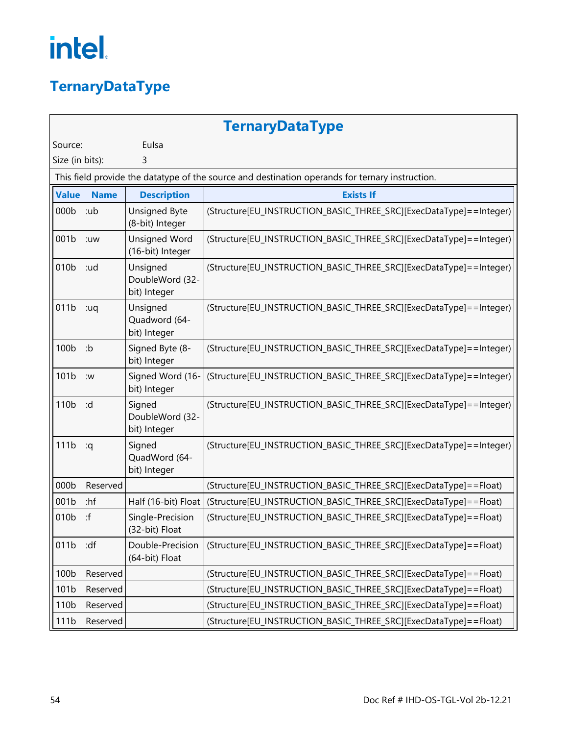### <span id="page-57-0"></span>**TernaryDataType**

|                  | <b>TernaryDataType</b> |                                             |                                                                                                 |  |
|------------------|------------------------|---------------------------------------------|-------------------------------------------------------------------------------------------------|--|
| Source:          |                        | Eulsa                                       |                                                                                                 |  |
| Size (in bits):  |                        | 3                                           |                                                                                                 |  |
|                  |                        |                                             | This field provide the datatype of the source and destination operands for ternary instruction. |  |
| <b>Value</b>     | <b>Name</b>            | <b>Description</b>                          | <b>Exists If</b>                                                                                |  |
| 000b             | :ub                    | <b>Unsigned Byte</b><br>(8-bit) Integer     | (Structure[EU_INSTRUCTION_BASIC_THREE_SRC][ExecDataType]==Integer)                              |  |
| 001b             | :uw                    | <b>Unsigned Word</b><br>(16-bit) Integer    | (Structure[EU_INSTRUCTION_BASIC_THREE_SRC][ExecDataType]==Integer)                              |  |
| 010b             | :ud                    | Unsigned<br>DoubleWord (32-<br>bit) Integer | (Structure[EU_INSTRUCTION_BASIC_THREE_SRC][ExecDataType]==Integer)                              |  |
| 011b             | :uq                    | Unsigned<br>Quadword (64-<br>bit) Integer   | (Structure[EU_INSTRUCTION_BASIC_THREE_SRC][ExecDataType]==Integer)                              |  |
| 100b             | :b                     | Signed Byte (8-<br>bit) Integer             | (Structure[EU_INSTRUCTION_BASIC_THREE_SRC][ExecDataType]==Integer)                              |  |
| 101b             | :w                     | Signed Word (16-<br>bit) Integer            | (Structure[EU_INSTRUCTION_BASIC_THREE_SRC][ExecDataType]==Integer)                              |  |
| 110 <sub>b</sub> | :d                     | Signed<br>DoubleWord (32-<br>bit) Integer   | (Structure[EU_INSTRUCTION_BASIC_THREE_SRC][ExecDataType]==Integer)                              |  |
| 111b             | :q                     | Signed<br>QuadWord (64-<br>bit) Integer     | (Structure[EU_INSTRUCTION_BASIC_THREE_SRC][ExecDataType]==Integer)                              |  |
| 000b             | Reserved               |                                             | (Structure[EU_INSTRUCTION_BASIC_THREE_SRC][ExecDataType]==Float)                                |  |
| 001b             | $:$ hf                 | Half (16-bit) Float                         | (Structure[EU_INSTRUCTION_BASIC_THREE_SRC][ExecDataType]==Float)                                |  |
| 010b             | : f                    | Single-Precision<br>(32-bit) Float          | (Structure[EU_INSTRUCTION_BASIC_THREE_SRC][ExecDataType]==Float)                                |  |
| 011b             | :df                    | Double-Precision<br>(64-bit) Float          | (Structure[EU_INSTRUCTION_BASIC_THREE_SRC][ExecDataType]==Float)                                |  |
| 100b             | Reserved               |                                             | (Structure[EU_INSTRUCTION_BASIC_THREE_SRC][ExecDataType]==Float)                                |  |
| 101b             | Reserved               |                                             | (Structure[EU_INSTRUCTION_BASIC_THREE_SRC][ExecDataType]==Float)                                |  |
| 110 <sub>b</sub> | Reserved               |                                             | (Structure[EU_INSTRUCTION_BASIC_THREE_SRC][ExecDataType]==Float)                                |  |
| 111b             | Reserved               |                                             | (Structure[EU_INSTRUCTION_BASIC_THREE_SRC][ExecDataType]==Float)                                |  |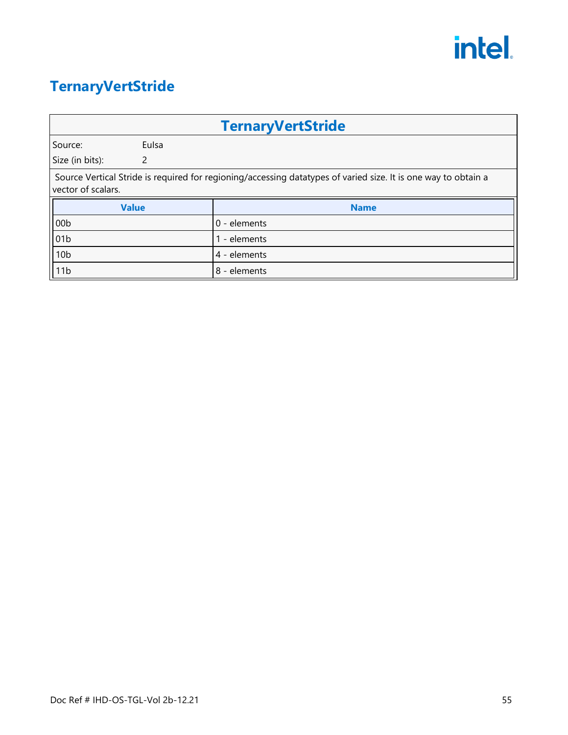#### <span id="page-58-0"></span>**TernaryVertStride**

|                                                                                                                                      |              | <b>TernaryVertStride</b> |
|--------------------------------------------------------------------------------------------------------------------------------------|--------------|--------------------------|
| Source:                                                                                                                              | Eulsa        |                          |
| Size (in bits):                                                                                                                      | 2            |                          |
| Source Vertical Stride is required for regioning/accessing datatypes of varied size. It is one way to obtain a<br>vector of scalars. |              |                          |
|                                                                                                                                      | <b>Value</b> | <b>Name</b>              |
| 00 <sub>b</sub>                                                                                                                      |              | 0 - elements             |
| 01b                                                                                                                                  |              | 1 - elements             |
| 10 <sub>b</sub>                                                                                                                      |              | 4 - elements             |
| 11b                                                                                                                                  |              | 8 - elements             |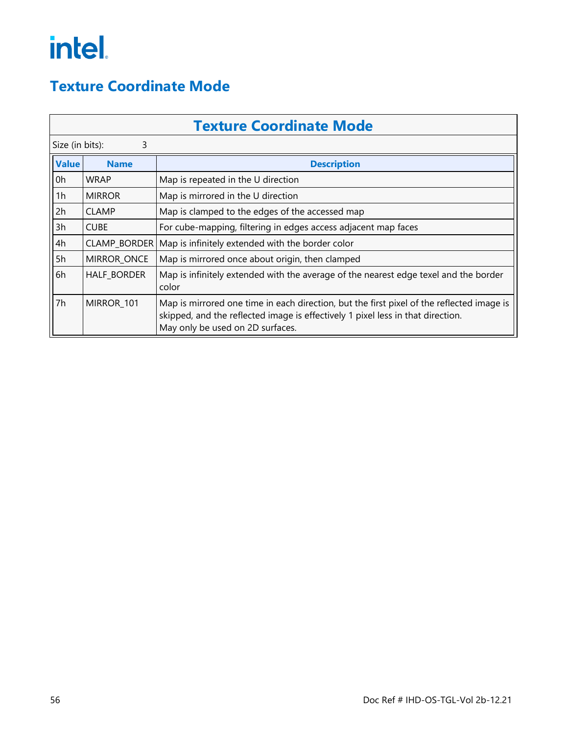#### <span id="page-59-0"></span>**Texture Coordinate Mode**

|                 | <b>Texture Coordinate Mode</b>    |                                                                                                                                                                                                                  |  |  |
|-----------------|-----------------------------------|------------------------------------------------------------------------------------------------------------------------------------------------------------------------------------------------------------------|--|--|
| Size (in bits): | 3                                 |                                                                                                                                                                                                                  |  |  |
| <b>Value</b>    | <b>Description</b><br><b>Name</b> |                                                                                                                                                                                                                  |  |  |
| 0h              | <b>WRAP</b>                       | Map is repeated in the U direction                                                                                                                                                                               |  |  |
| 1h              | <b>MIRROR</b>                     | Map is mirrored in the U direction                                                                                                                                                                               |  |  |
| 2h              | <b>CLAMP</b>                      | Map is clamped to the edges of the accessed map                                                                                                                                                                  |  |  |
| 3h              | <b>CUBE</b>                       | For cube-mapping, filtering in edges access adjacent map faces                                                                                                                                                   |  |  |
| 4h              | CLAMP_BORDER                      | Map is infinitely extended with the border color                                                                                                                                                                 |  |  |
| 5h              | MIRROR_ONCE                       | Map is mirrored once about origin, then clamped                                                                                                                                                                  |  |  |
| 6h              | <b>HALF BORDER</b>                | Map is infinitely extended with the average of the nearest edge texel and the border<br>color                                                                                                                    |  |  |
| 7h              | MIRROR_101                        | Map is mirrored one time in each direction, but the first pixel of the reflected image is<br>skipped, and the reflected image is effectively 1 pixel less in that direction.<br>May only be used on 2D surfaces. |  |  |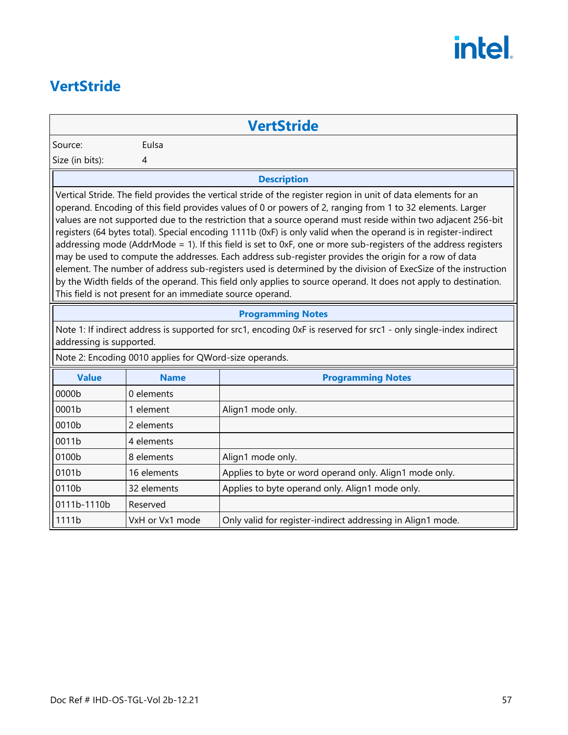#### <span id="page-60-0"></span>**VertStride**

#### **VertStride**

Source: Eulsa

Size (in bits): 4

#### **Description**

Vertical Stride. The field provides the vertical stride of the register region in unit of data elements for an operand. Encoding of this field provides values of 0 or powers of 2, ranging from 1 to 32 elements. Larger values are not supported due to the restriction that a source operand must reside within two adjacent 256-bit registers (64 bytes total). Special encoding 1111b (0xF) is only valid when the operand is in register-indirect addressing mode (AddrMode = 1). If this field is set to 0xF, one or more sub-registers of the address registers may be used to compute the addresses. Each address sub-register provides the origin for a row of data element. The number of address sub-registers used is determined by the division of ExecSize of the instruction by the Width fields of the operand. This field only applies to source operand. It does not apply to destination. This field is not present for an immediate source operand.

#### **Programming Notes**

Note 1: If indirect address is supported for src1, encoding 0xF is reserved for src1 - only single-index indirect addressing is supported.

Note 2: Encoding 0010 applies for QWord-size operands.

| <b>Value</b> | <b>Name</b>     | <b>Programming Notes</b>                                    |
|--------------|-----------------|-------------------------------------------------------------|
| 0000b        | 0 elements      |                                                             |
| 0001b        | element         | Align1 mode only.                                           |
| 0010b        | 2 elements      |                                                             |
| 0011b        | 4 elements      |                                                             |
| 0100b        | 8 elements      | Align1 mode only.                                           |
| 0101b        | 16 elements     | Applies to byte or word operand only. Align1 mode only.     |
| 0110b        | 32 elements     | Applies to byte operand only. Align1 mode only.             |
| 0111b-1110b  | Reserved        |                                                             |
| 1111b        | VxH or Vx1 mode | Only valid for register-indirect addressing in Align1 mode. |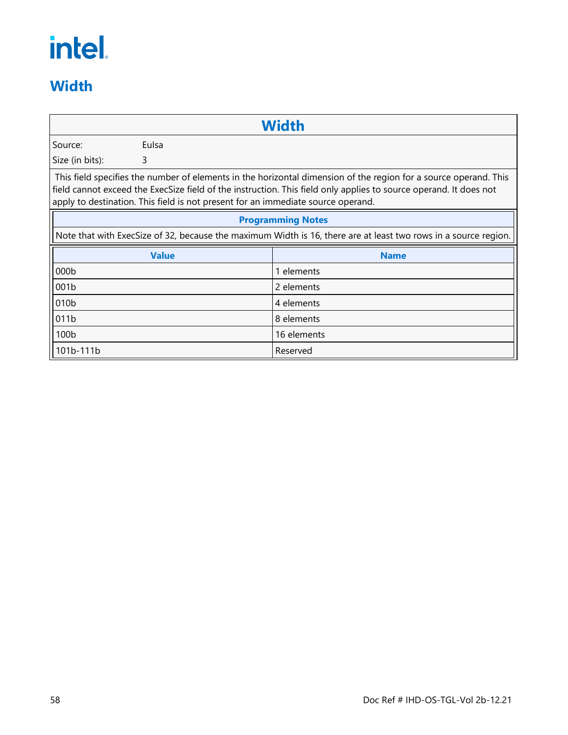#### <span id="page-61-0"></span>**Width**

|                  |              | <b>Width</b>                                                                                                                                                                                                                                                                                                              |
|------------------|--------------|---------------------------------------------------------------------------------------------------------------------------------------------------------------------------------------------------------------------------------------------------------------------------------------------------------------------------|
| Source:          | Eulsa        |                                                                                                                                                                                                                                                                                                                           |
| Size (in bits):  | 3            |                                                                                                                                                                                                                                                                                                                           |
|                  |              | This field specifies the number of elements in the horizontal dimension of the region for a source operand. This<br>field cannot exceed the ExecSize field of the instruction. This field only applies to source operand. It does not<br>apply to destination. This field is not present for an immediate source operand. |
|                  |              | <b>Programming Notes</b>                                                                                                                                                                                                                                                                                                  |
|                  |              | Note that with ExecSize of 32, because the maximum Width is 16, there are at least two rows in a source region.                                                                                                                                                                                                           |
|                  | <b>Value</b> | <b>Name</b>                                                                                                                                                                                                                                                                                                               |
| 000b             |              | 1 elements                                                                                                                                                                                                                                                                                                                |
| 001b             |              | 2 elements                                                                                                                                                                                                                                                                                                                |
| 010 <sub>b</sub> |              | 4 elements                                                                                                                                                                                                                                                                                                                |
| 011b             |              | 8 elements                                                                                                                                                                                                                                                                                                                |
| 100b             |              | 16 elements                                                                                                                                                                                                                                                                                                               |
| 101b-111b        |              | Reserved                                                                                                                                                                                                                                                                                                                  |